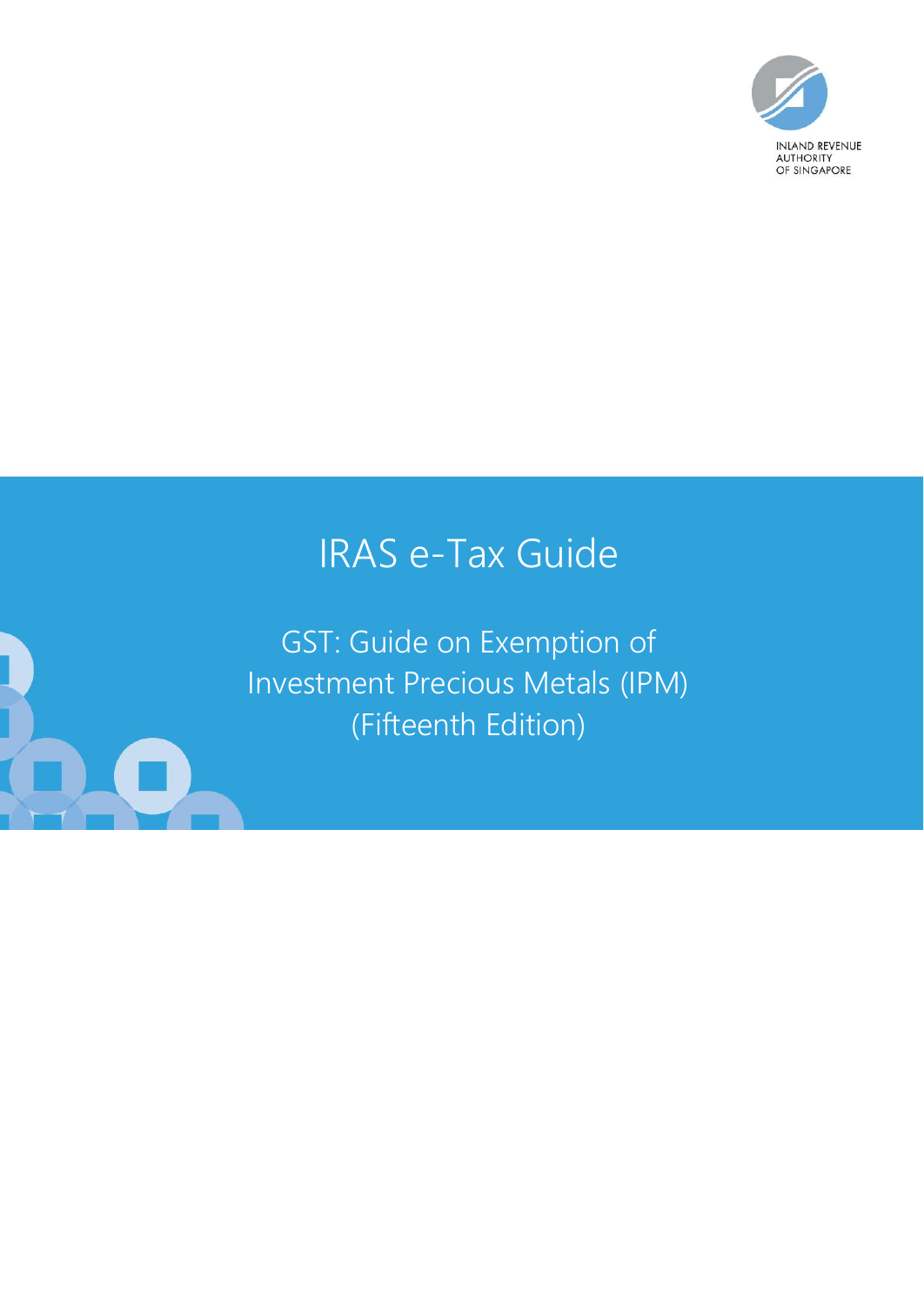

# IRAS e-Tax Guide

GST: Guide on Exemption of Investment Precious Metals (IPM) (Fifteenth Edition)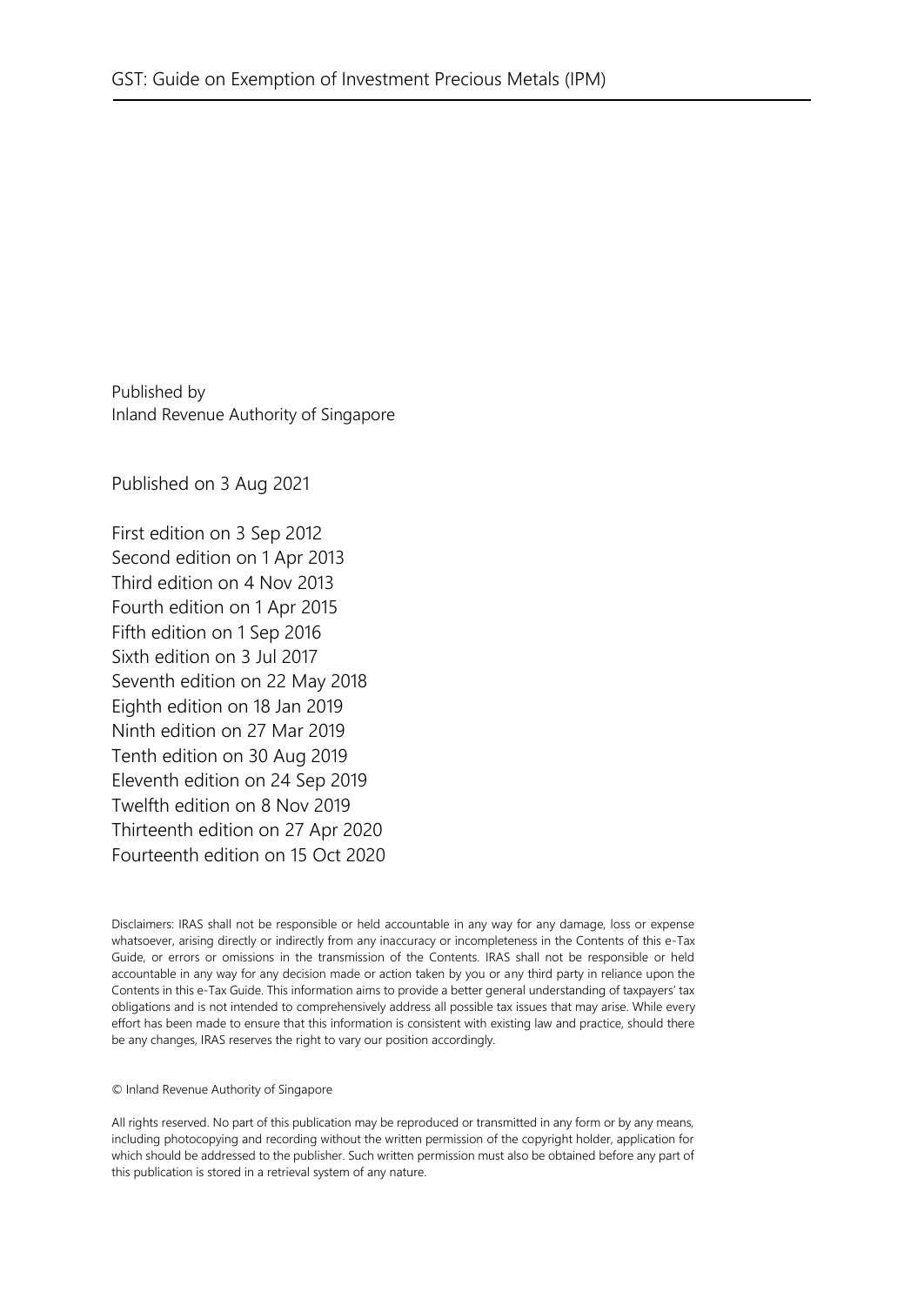Published by Inland Revenue Authority of Singapore

Published on 3 Aug 2021

First edition on 3 Sep 2012 Second edition on 1 Apr 2013 Third edition on 4 Nov 2013 Fourth edition on 1 Apr 2015 Fifth edition on 1 Sep 2016 Sixth edition on 3 Jul 2017 Seventh edition on 22 May 2018 Eighth edition on 18 Jan 2019 Ninth edition on 27 Mar 2019 Tenth edition on 30 Aug 2019 Eleventh edition on 24 Sep 2019 Twelfth edition on 8 Nov 2019 Thirteenth edition on 27 Apr 2020 Fourteenth edition on 15 Oct 2020

Disclaimers: IRAS shall not be responsible or held accountable in any way for any damage, loss or expense whatsoever, arising directly or indirectly from any inaccuracy or incompleteness in the Contents of this e-Tax Guide, or errors or omissions in the transmission of the Contents. IRAS shall not be responsible or held accountable in any way for any decision made or action taken by you or any third party in reliance upon the Contents in this e-Tax Guide. This information aims to provide a better general understanding of taxpayers' tax obligations and is not intended to comprehensively address all possible tax issues that may arise. While every effort has been made to ensure that this information is consistent with existing law and practice, should there be any changes, IRAS reserves the right to vary our position accordingly.

#### © Inland Revenue Authority of Singapore

All rights reserved. No part of this publication may be reproduced or transmitted in any form or by any means, including photocopying and recording without the written permission of the copyright holder, application for which should be addressed to the publisher. Such written permission must also be obtained before any part of this publication is stored in a retrieval system of any nature.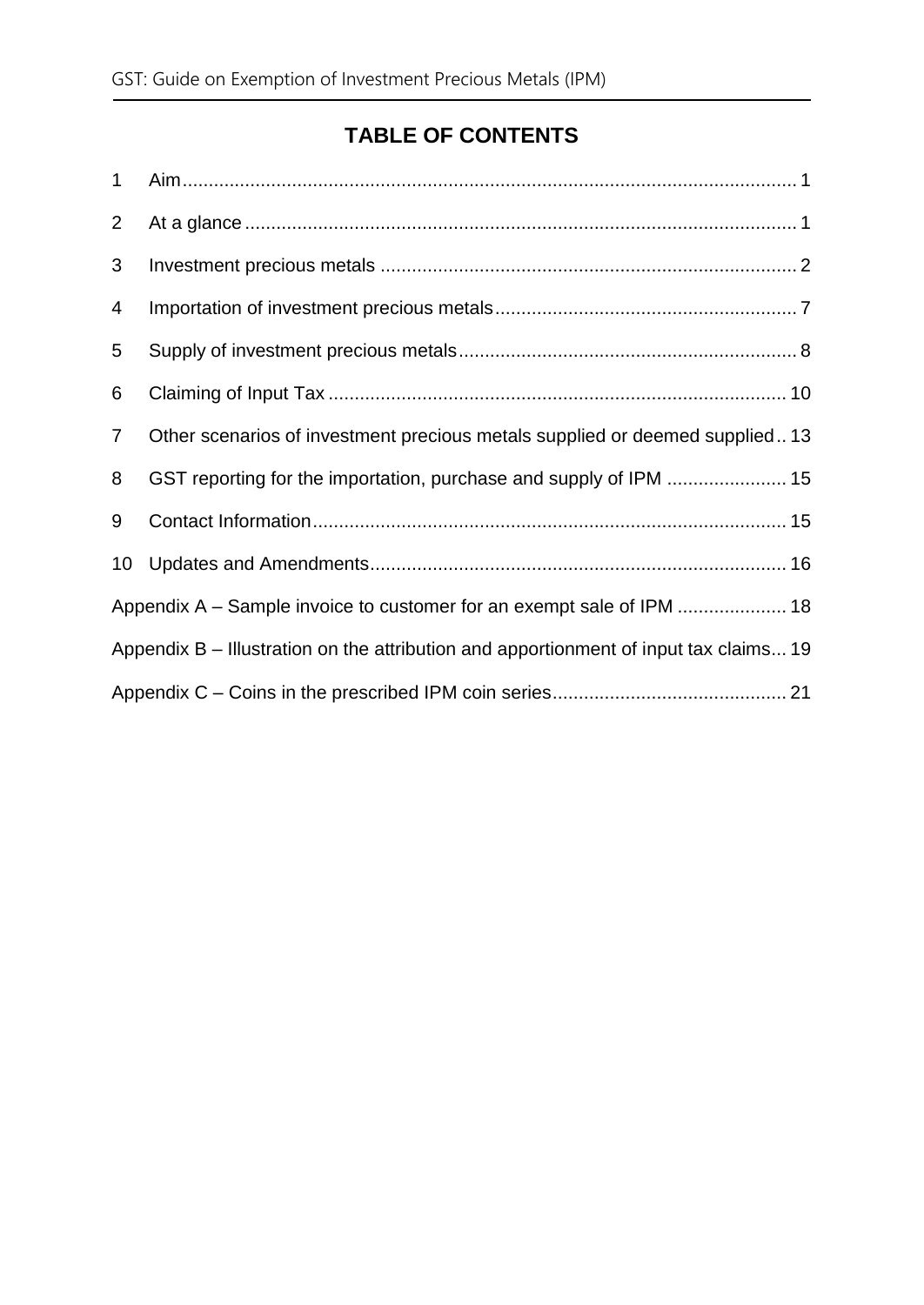## **TABLE OF CONTENTS**

| $\mathbf 1$    |                                                                                       |  |  |
|----------------|---------------------------------------------------------------------------------------|--|--|
| $\overline{2}$ |                                                                                       |  |  |
| 3              |                                                                                       |  |  |
| 4              |                                                                                       |  |  |
| 5              |                                                                                       |  |  |
| 6              |                                                                                       |  |  |
| $\overline{7}$ | Other scenarios of investment precious metals supplied or deemed supplied13           |  |  |
| 8              | GST reporting for the importation, purchase and supply of IPM  15                     |  |  |
| 9              |                                                                                       |  |  |
| 10             |                                                                                       |  |  |
|                | Appendix A – Sample invoice to customer for an exempt sale of IPM  18                 |  |  |
|                | Appendix B – Illustration on the attribution and apportionment of input tax claims 19 |  |  |
|                |                                                                                       |  |  |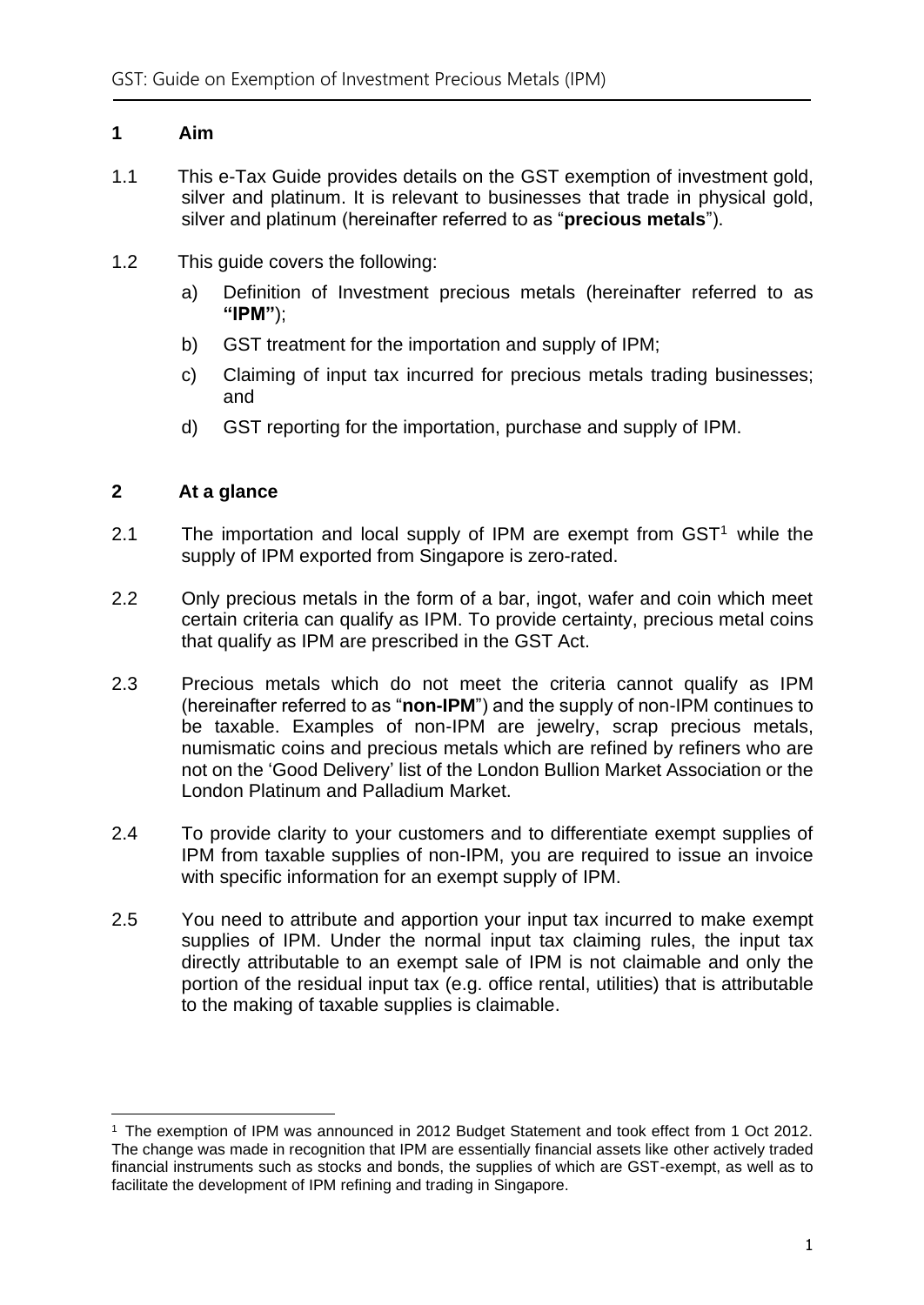#### <span id="page-3-0"></span>**1 Aim**

- 1.1 This e-Tax Guide provides details on the GST exemption of investment gold, silver and platinum. It is relevant to businesses that trade in physical gold, silver and platinum (hereinafter referred to as "**precious metals**").
- 1.2 This guide covers the following:
	- a) Definition of Investment precious metals (hereinafter referred to as **"IPM"**);
	- b) GST treatment for the importation and supply of IPM;
	- c) Claiming of input tax incurred for precious metals trading businesses; and
	- d) GST reporting for the importation, purchase and supply of IPM.

#### <span id="page-3-1"></span>**2 At a glance**

- 2.1 The importation and local supply of IPM are exempt from  $GST<sup>1</sup>$  while the supply of IPM exported from Singapore is zero-rated.
- 2.2 Only precious metals in the form of a bar, ingot, wafer and coin which meet certain criteria can qualify as IPM. To provide certainty, precious metal coins that qualify as IPM are prescribed in the GST Act.
- 2.3 Precious metals which do not meet the criteria cannot qualify as IPM (hereinafter referred to as "**non-IPM**") and the supply of non-IPM continues to be taxable. Examples of non-IPM are jewelry, scrap precious metals, numismatic coins and precious metals which are refined by refiners who are not on the 'Good Delivery' list of the London Bullion Market Association or the London Platinum and Palladium Market.
- 2.4 To provide clarity to your customers and to differentiate exempt supplies of IPM from taxable supplies of non-IPM, you are required to issue an invoice with specific information for an exempt supply of IPM.
- 2.5 You need to attribute and apportion your input tax incurred to make exempt supplies of IPM. Under the normal input tax claiming rules, the input tax directly attributable to an exempt sale of IPM is not claimable and only the portion of the residual input tax (e.g. office rental, utilities) that is attributable to the making of taxable supplies is claimable.

<sup>1</sup> The exemption of IPM was announced in 2012 Budget Statement and took effect from 1 Oct 2012. The change was made in recognition that IPM are essentially financial assets like other actively traded financial instruments such as stocks and bonds, the supplies of which are GST-exempt, as well as to facilitate the development of IPM refining and trading in Singapore.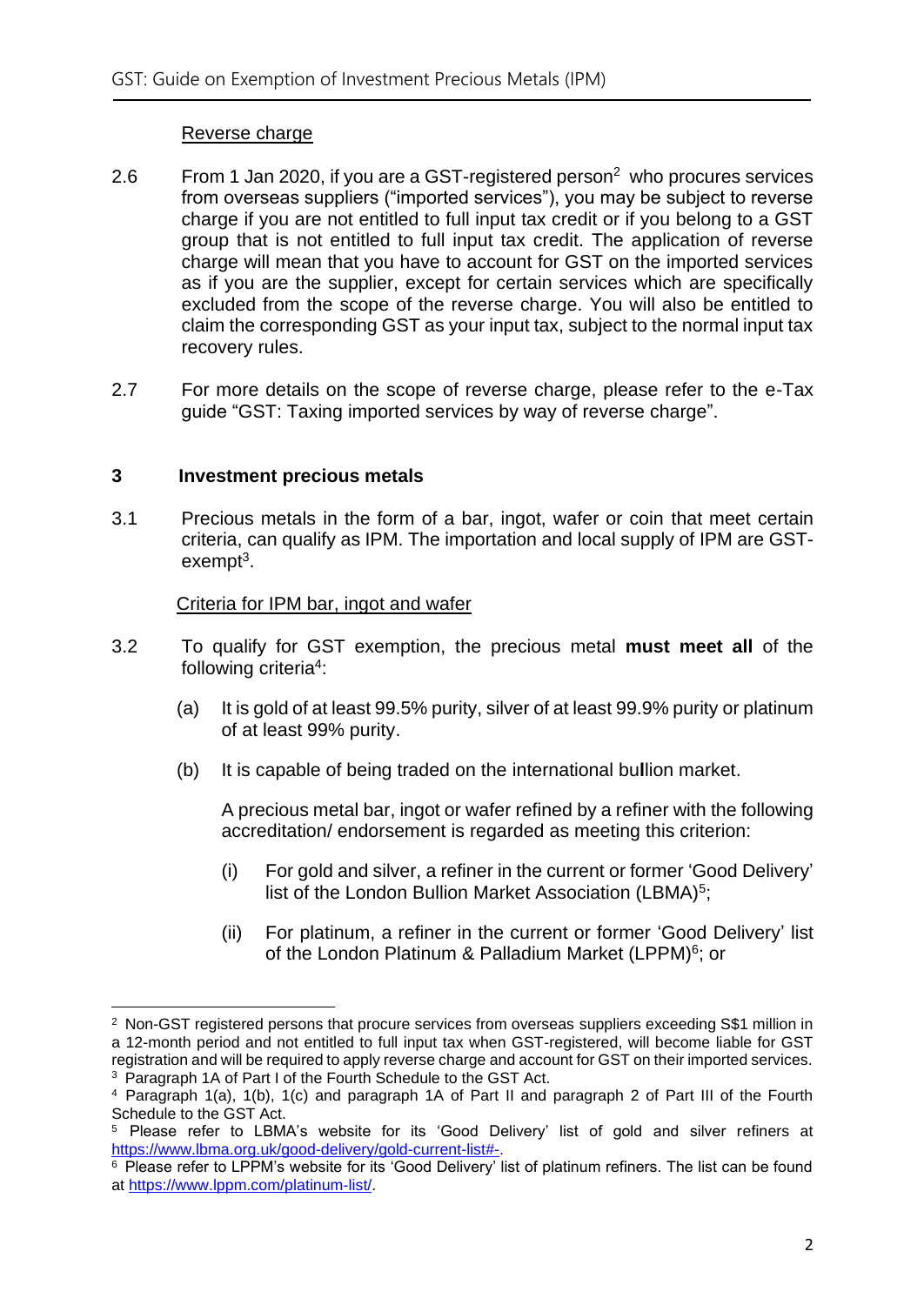#### Reverse charge

- 2.6 From 1 Jan 2020, if you are a GST-registered person<sup>2</sup> who procures services from overseas suppliers ("imported services"), you may be subject to reverse charge if you are not entitled to full input tax credit or if you belong to a GST group that is not entitled to full input tax credit. The application of reverse charge will mean that you have to account for GST on the imported services as if you are the supplier, except for certain services which are specifically excluded from the scope of the reverse charge. You will also be entitled to claim the corresponding GST as your input tax, subject to the normal input tax recovery rules.
- 2.7 For more details on the scope of reverse charge, please refer to the e-Tax guide "GST: Taxing imported services by way of reverse charge".

#### <span id="page-4-0"></span>**3 Investment precious metals**

3.1 Precious metals in the form of a bar, ingot, wafer or coin that meet certain criteria, can qualify as IPM. The importation and local supply of IPM are GSTexempt<sup>3</sup>.

#### Criteria for IPM bar, ingot and wafer

- 3.2 To qualify for GST exemption, the precious metal **must meet all** of the following criteria<sup>4</sup>:
	- (a) It is gold of at least 99.5% purity, silver of at least 99.9% purity or platinum of at least 99% purity.
	- (b) It is capable of being traded on the international bu**l**lion market.

A precious metal bar, ingot or wafer refined by a refiner with the following accreditation/ endorsement is regarded as meeting this criterion:

- (i) For gold and silver, a refiner in the current or former 'Good Delivery' list of the London Bullion Market Association (LBMA)<sup>5</sup>;
- (ii) For platinum, a refiner in the current or former 'Good Delivery' list of the London Platinum & Palladium Market (LPPM)<sup>6</sup>; or

<sup>&</sup>lt;sup>2</sup> Non-GST registered persons that procure services from overseas suppliers exceeding S\$1 million in a 12-month period and not entitled to full input tax when GST-registered, will become liable for GST registration and will be required to apply reverse charge and account for GST on their imported services. <sup>3</sup> Paragraph 1A of Part I of the Fourth Schedule to the GST Act.

<sup>4</sup> Paragraph 1(a), 1(b), 1(c) and paragraph 1A of Part II and paragraph 2 of Part III of the Fourth Schedule to the GST Act.

<sup>5</sup> Please refer to LBMA's website for its 'Good Delivery' list of gold and silver refiners at [https://www.lbma.org.uk/good-delivery/gold-current-list#-.](https://www.lbma.org.uk/good-delivery/gold-current-list#-)

<sup>6</sup> Please refer to LPPM's website for its 'Good Delivery' list of platinum refiners. The list can be found at [https://www.lppm.com/platinum-list/.](https://www.lppm.com/platinum-list/)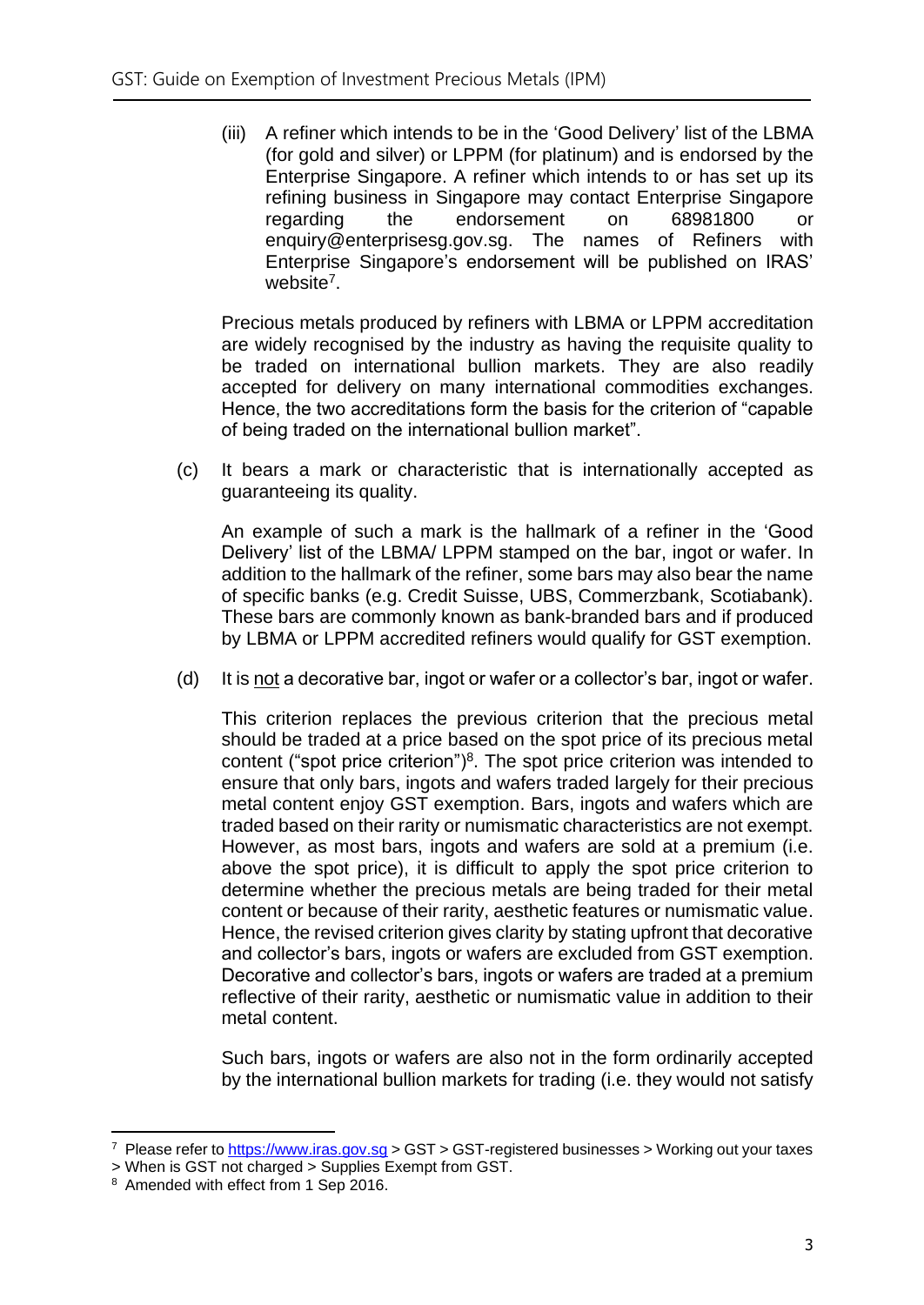(iii) A refiner which intends to be in the 'Good Delivery' list of the LBMA (for gold and silver) or LPPM (for platinum) and is endorsed by the Enterprise Singapore. A refiner which intends to or has set up its refining business in Singapore may contact Enterprise Singapore regarding the endorsement on 68981800 or enquiry@enterprisesg.gov.sg. The names of Refiners with Enterprise Singapore's endorsement will be published on IRAS' website<sup>7</sup>.

Precious metals produced by refiners with LBMA or LPPM accreditation are widely recognised by the industry as having the requisite quality to be traded on international bullion markets. They are also readily accepted for delivery on many international commodities exchanges. Hence, the two accreditations form the basis for the criterion of "capable of being traded on the international bullion market".

(c) It bears a mark or characteristic that is internationally accepted as guaranteeing its quality.

An example of such a mark is the hallmark of a refiner in the 'Good Delivery' list of the LBMA/ LPPM stamped on the bar, ingot or wafer. In addition to the hallmark of the refiner, some bars may also bear the name of specific banks (e.g. Credit Suisse, UBS, Commerzbank, Scotiabank). These bars are commonly known as bank-branded bars and if produced by LBMA or LPPM accredited refiners would qualify for GST exemption.

(d) It is not a decorative bar, ingot or wafer or a collector's bar, ingot or wafer.

This criterion replaces the previous criterion that the precious metal should be traded at a price based on the spot price of its precious metal content ("spot price criterion") $8$ . The spot price criterion was intended to ensure that only bars, ingots and wafers traded largely for their precious metal content enjoy GST exemption. Bars, ingots and wafers which are traded based on their rarity or numismatic characteristics are not exempt. However, as most bars, ingots and wafers are sold at a premium (i.e. above the spot price), it is difficult to apply the spot price criterion to determine whether the precious metals are being traded for their metal content or because of their rarity, aesthetic features or numismatic value. Hence, the revised criterion gives clarity by stating upfront that decorative and collector's bars, ingots or wafers are excluded from GST exemption. Decorative and collector's bars, ingots or wafers are traded at a premium reflective of their rarity, aesthetic or numismatic value in addition to their metal content.

Such bars, ingots or wafers are also not in the form ordinarily accepted by the international bullion markets for trading (i.e. they would not satisfy

<sup>&</sup>lt;sup>7</sup> Please refer to [https://www.iras.gov.sg](https://www.iras.gov.sg/) > GST > GST-registered businesses > Working out your taxes

<sup>&</sup>gt; When is GST not charged > Supplies Exempt from GST.

<sup>8</sup> Amended with effect from 1 Sep 2016.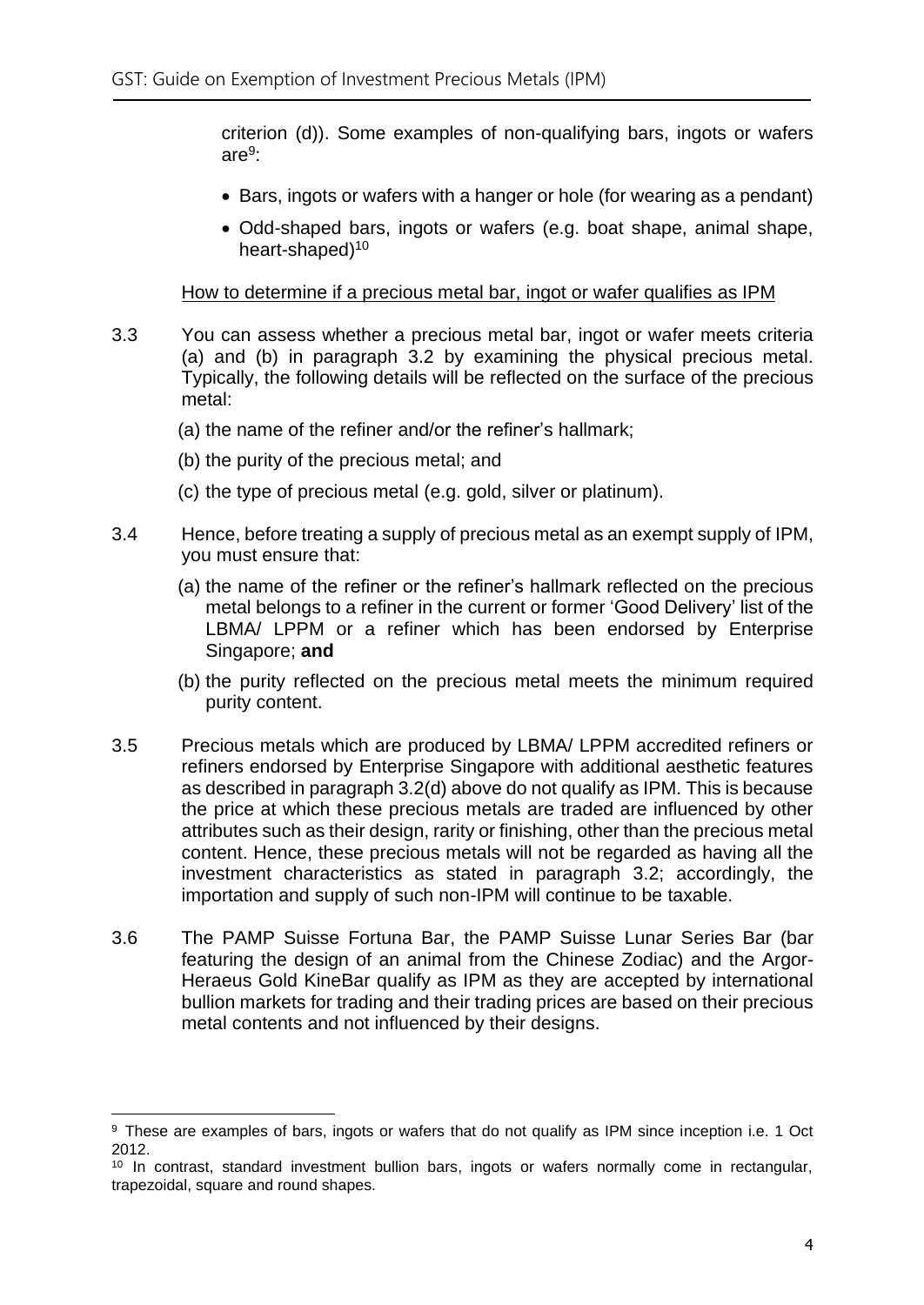criterion (d)). Some examples of non-qualifying bars, ingots or wafers are<sup>9</sup>:

- Bars, ingots or wafers with a hanger or hole (for wearing as a pendant)
- Odd-shaped bars, ingots or wafers (e.g. boat shape, animal shape, heart-shaped)<sup>10</sup>

#### How to determine if a precious metal bar, ingot or wafer qualifies as IPM

- 3.3 You can assess whether a precious metal bar, ingot or wafer meets criteria (a) and (b) in paragraph 3.2 by examining the physical precious metal. Typically, the following details will be reflected on the surface of the precious metal:
	- (a) the name of the refiner and/or the refiner's hallmark;
	- (b) the purity of the precious metal; and
	- (c) the type of precious metal (e.g. gold, silver or platinum).
- 3.4 Hence, before treating a supply of precious metal as an exempt supply of IPM, you must ensure that:
	- (a) the name of the refiner or the refiner's hallmark reflected on the precious metal belongs to a refiner in the current or former 'Good Delivery' list of the LBMA/ LPPM or a refiner which has been endorsed by Enterprise Singapore; **and**
	- (b) the purity reflected on the precious metal meets the minimum required purity content.
- 3.5 Precious metals which are produced by LBMA/ LPPM accredited refiners or refiners endorsed by Enterprise Singapore with additional aesthetic features as described in paragraph 3.2(d) above do not qualify as IPM. This is because the price at which these precious metals are traded are influenced by other attributes such as their design, rarity or finishing, other than the precious metal content. Hence, these precious metals will not be regarded as having all the investment characteristics as stated in paragraph 3.2; accordingly, the importation and supply of such non-IPM will continue to be taxable.
- 3.6 The PAMP Suisse Fortuna Bar, the PAMP Suisse Lunar Series Bar (bar featuring the design of an animal from the Chinese Zodiac) and the Argor-Heraeus Gold KineBar qualify as IPM as they are accepted by international bullion markets for trading and their trading prices are based on their precious metal contents and not influenced by their designs.

<sup>9</sup> These are examples of bars, ingots or wafers that do not qualify as IPM since inception i.e. 1 Oct 2012.

<sup>&</sup>lt;sup>10</sup> In contrast, standard investment bullion bars, ingots or wafers normally come in rectangular, trapezoidal, square and round shapes.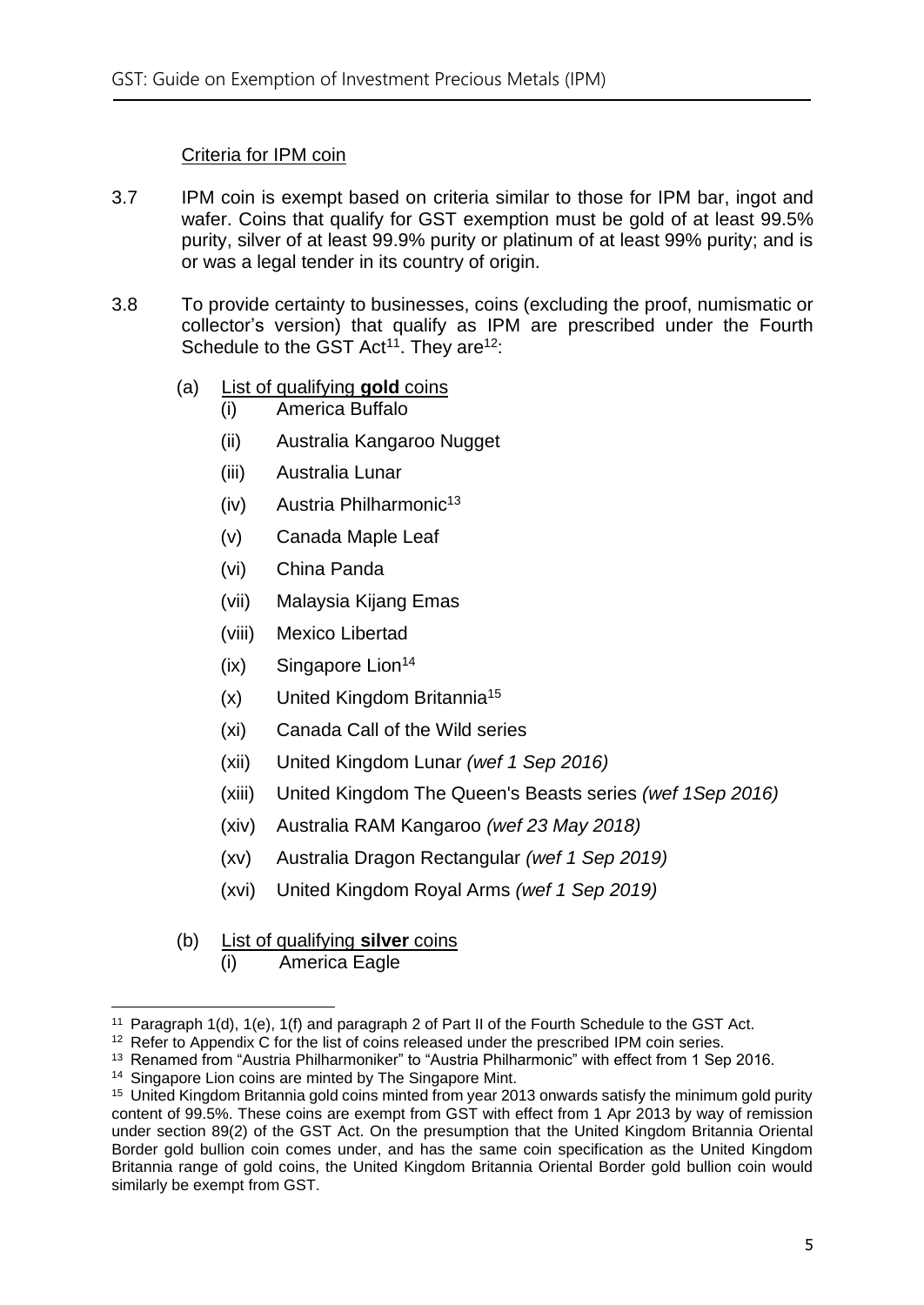#### Criteria for IPM coin

- 3.7 IPM coin is exempt based on criteria similar to those for IPM bar, ingot and wafer. Coins that qualify for GST exemption must be gold of at least 99.5% purity, silver of at least 99.9% purity or platinum of at least 99% purity; and is or was a legal tender in its country of origin.
- <span id="page-7-0"></span>3.8 To provide certainty to businesses, coins (excluding the proof, numismatic or collector's version) that qualify as IPM are prescribed under the Fourth Schedule to the GST  $Act^{11}$ . They are<sup>12</sup>:
	- (a) List of qualifying **gold** coins
		- (i) America Buffalo
		- (ii) Australia Kangaroo Nugget
		- (iii) Australia Lunar
		- $(iv)$  Austria Philharmonic<sup>13</sup>
		- (v) Canada Maple Leaf
		- (vi) China Panda
		- (vii) Malaysia Kijang Emas
		- (viii) Mexico Libertad
		- $(ix)$  Singapore Lion<sup>14</sup>
		- (x) United Kingdom Britannia<sup>15</sup>
		- (xi) Canada Call of the Wild series
		- (xii) United Kingdom Lunar *(wef 1 Sep 2016)*
		- (xiii) United Kingdom The Queen's Beasts series *(wef 1Sep 2016)*
		- (xiv) Australia RAM Kangaroo *(wef 23 May 2018)*
		- (xv) Australia Dragon Rectangular *(wef 1 Sep 2019)*
		- (xvi) United Kingdom Royal Arms *(wef 1 Sep 2019)*
	- (b) List of qualifying **silver** coins
		- (i) America Eagle

<sup>11</sup> Paragraph 1(d), 1(e), 1(f) and paragraph 2 of Part II of the Fourth Schedule to the GST Act.

<sup>&</sup>lt;sup>12</sup> Refer to Appendix C for the list of coins released under the prescribed IPM coin series.

<sup>&</sup>lt;sup>13</sup> Renamed from "Austria Philharmoniker" to "Austria Philharmonic" with effect from 1 Sep 2016.

<sup>&</sup>lt;sup>14</sup> Singapore Lion coins are minted by The Singapore Mint.

<sup>&</sup>lt;sup>15</sup> United Kingdom Britannia gold coins minted from year 2013 onwards satisfy the minimum gold purity content of 99.5%. These coins are exempt from GST with effect from 1 Apr 2013 by way of remission under section 89(2) of the GST Act. On the presumption that the United Kingdom Britannia Oriental Border gold bullion coin comes under, and has the same coin specification as the United Kingdom Britannia range of gold coins, the United Kingdom Britannia Oriental Border gold bullion coin would similarly be exempt from GST.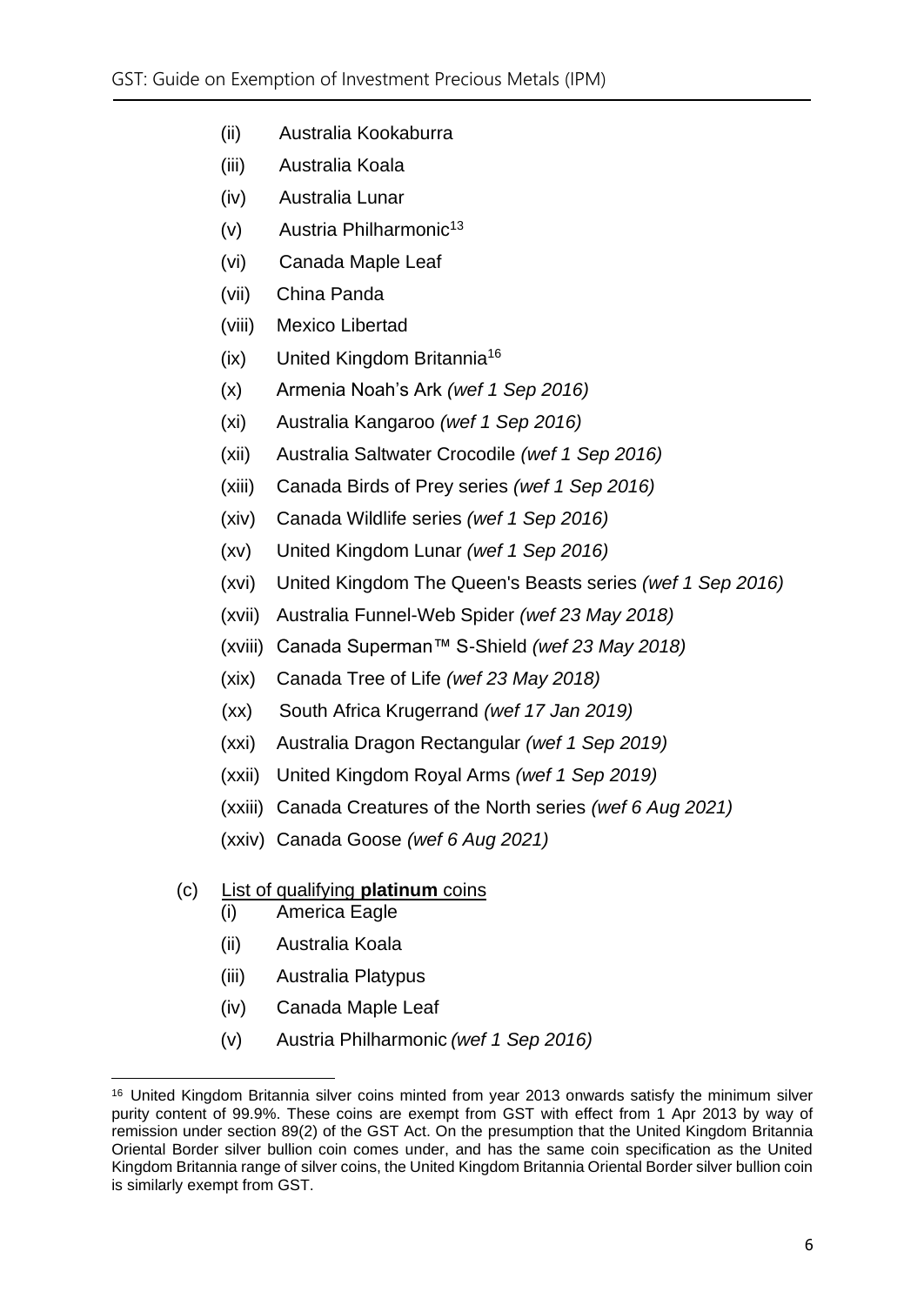- (ii) Australia Kookaburra
- (iii) Australia Koala
- (iv) Australia Lunar
- $(v)$  Austria Philharmonic<sup>[13](#page-7-0)</sup>
- (vi) Canada Maple Leaf
- (vii) China Panda
- (viii) Mexico Libertad
- (ix) United Kingdom Britannia<sup>16</sup>
- (x) Armenia Noah's Ark *(wef 1 Sep 2016)*
- (xi) Australia Kangaroo *(wef 1 Sep 2016)*
- (xii) Australia Saltwater Crocodile *(wef 1 Sep 2016)*
- (xiii) Canada Birds of Prey series *(wef 1 Sep 2016)*
- (xiv) Canada Wildlife series *(wef 1 Sep 2016)*
- (xv) United Kingdom Lunar *(wef 1 Sep 2016)*
- (xvi) United Kingdom The Queen's Beasts series *(wef 1 Sep 2016)*
- (xvii) Australia Funnel-Web Spider *(wef 23 May 2018)*
- (xviii) Canada Superman™ S-Shield *(wef 23 May 2018)*
- (xix) Canada Tree of Life *(wef 23 May 2018)*
- (xx) South Africa Krugerrand *(wef 17 Jan 2019)*
- (xxi) Australia Dragon Rectangular *(wef 1 Sep 2019)*
- (xxii) United Kingdom Royal Arms *(wef 1 Sep 2019)*
- (xxiii) Canada Creatures of the North series *(wef 6 Aug 2021)*
- (xxiv) Canada Goose *(wef 6 Aug 2021)*

### (c) List of qualifying **platinum** coins

- (i) America Eagle
- (ii) Australia Koala
- (iii) Australia Platypus
- (iv) Canada Maple Leaf
- (v) Austria Philharmonic *(wef 1 Sep 2016)*

<sup>&</sup>lt;sup>16</sup> United Kingdom Britannia silver coins minted from year 2013 onwards satisfy the minimum silver purity content of 99.9%. These coins are exempt from GST with effect from 1 Apr 2013 by way of remission under section 89(2) of the GST Act. On the presumption that the United Kingdom Britannia Oriental Border silver bullion coin comes under, and has the same coin specification as the United Kingdom Britannia range of silver coins, the United Kingdom Britannia Oriental Border silver bullion coin is similarly exempt from GST.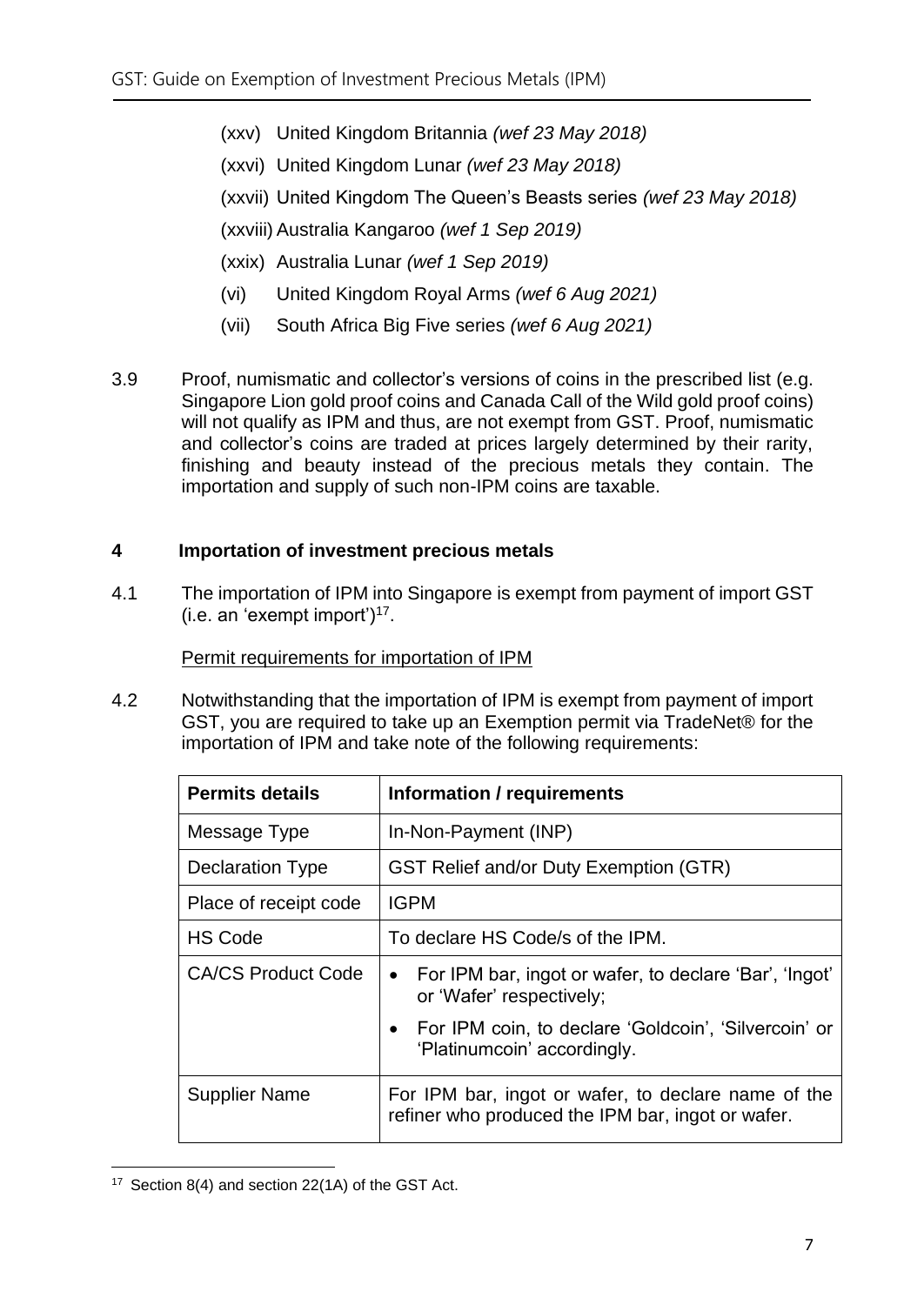- (xxv) United Kingdom Britannia *(wef 23 May 2018)*
- (xxvi) United Kingdom Lunar *(wef 23 May 2018)*
- (xxvii) United Kingdom The Queen's Beasts series *(wef 23 May 2018)*

(xxviii) Australia Kangaroo *(wef 1 Sep 2019)*

- (xxix) Australia Lunar *(wef 1 Sep 2019)*
- (vi) United Kingdom Royal Arms *(wef 6 Aug 2021)*
- (vii) South Africa Big Five series *(wef 6 Aug 2021)*
- 3.9 Proof, numismatic and collector's versions of coins in the prescribed list (e.g. Singapore Lion gold proof coins and Canada Call of the Wild gold proof coins) will not qualify as IPM and thus, are not exempt from GST. Proof, numismatic and collector's coins are traded at prices largely determined by their rarity, finishing and beauty instead of the precious metals they contain. The importation and supply of such non-IPM coins are taxable.

#### <span id="page-9-0"></span>**4 Importation of investment precious metals**

4.1 The importation of IPM into Singapore is exempt from payment of import GST (i.e. an 'exempt import') 17 .

Permit requirements for importation of IPM

4.2 Notwithstanding that the importation of IPM is exempt from payment of import GST, you are required to take up an Exemption permit via TradeNet® for the importation of IPM and take note of the following requirements:

| <b>Permits details</b>    | Information / requirements                                                                               |  |
|---------------------------|----------------------------------------------------------------------------------------------------------|--|
| Message Type              | In-Non-Payment (INP)                                                                                     |  |
| <b>Declaration Type</b>   | <b>GST Relief and/or Duty Exemption (GTR)</b>                                                            |  |
| Place of receipt code     | <b>IGPM</b>                                                                                              |  |
| <b>HS Code</b>            | To declare HS Code/s of the IPM.                                                                         |  |
| <b>CA/CS Product Code</b> | For IPM bar, ingot or wafer, to declare 'Bar', 'Ingot'<br>$\bullet$<br>or 'Wafer' respectively;          |  |
|                           | • For IPM coin, to declare 'Goldcoin', 'Silvercoin' or<br>'Platinumcoin' accordingly.                    |  |
| <b>Supplier Name</b>      | For IPM bar, ingot or wafer, to declare name of the<br>refiner who produced the IPM bar, ingot or wafer. |  |

<sup>17</sup> Section 8(4) and section 22(1A) of the GST Act.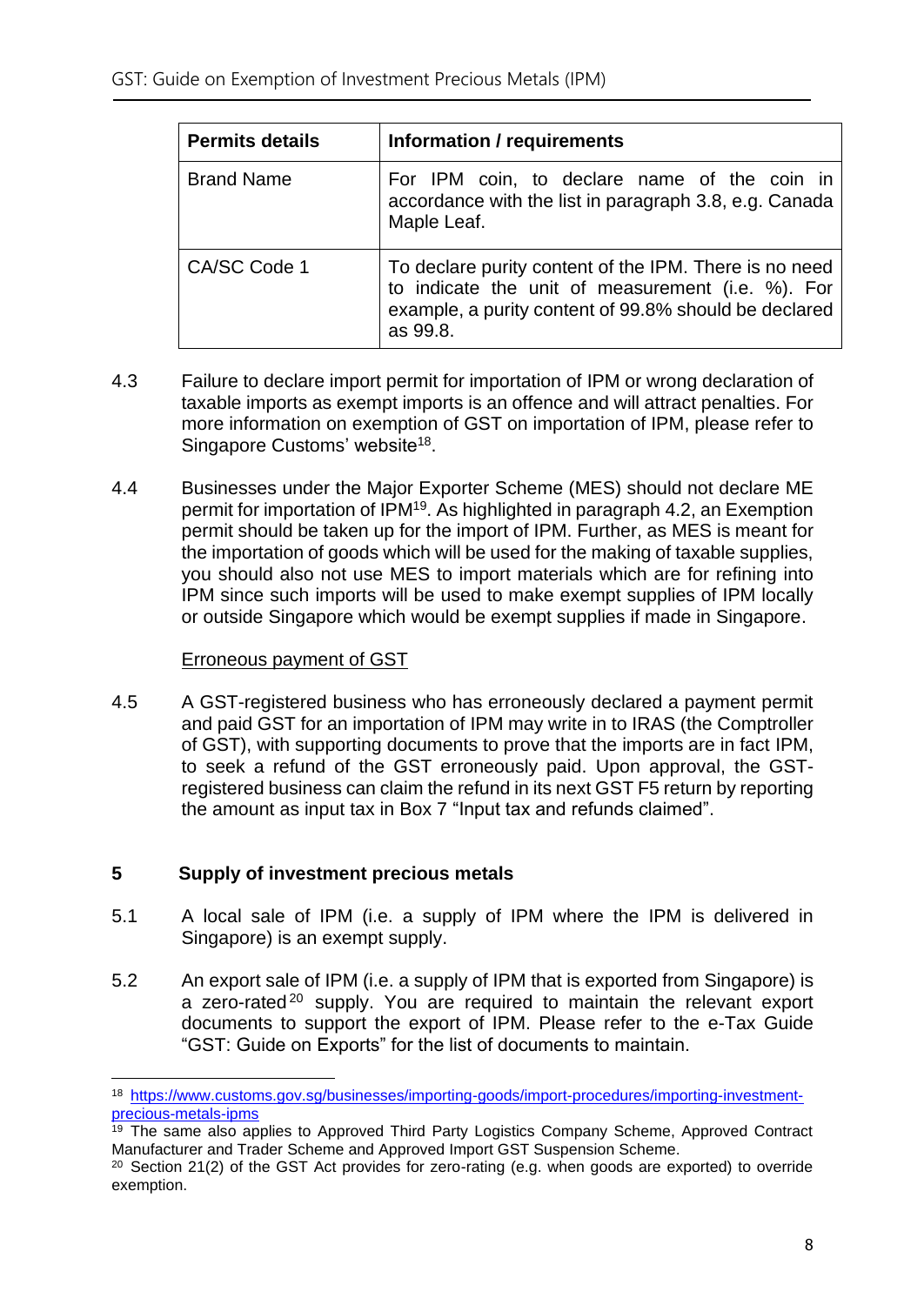| <b>Permits details</b> | Information / requirements                                                                                                                                                       |  |  |
|------------------------|----------------------------------------------------------------------------------------------------------------------------------------------------------------------------------|--|--|
| <b>Brand Name</b>      | For IPM coin, to declare name of the coin in<br>accordance with the list in paragraph 3.8, e.g. Canada<br>Maple Leaf.                                                            |  |  |
| CA/SC Code 1           | To declare purity content of the IPM. There is no need<br>to indicate the unit of measurement (i.e. %). For<br>example, a purity content of 99.8% should be declared<br>as 99.8. |  |  |

- 4.3 Failure to declare import permit for importation of IPM or wrong declaration of taxable imports as exempt imports is an offence and will attract penalties. For more information on exemption of GST on importation of IPM, please refer to Singapore Customs' website<sup>18</sup>.
- 4.4 Businesses under the Major Exporter Scheme (MES) should not declare ME permit for importation of IPM<sup>19</sup>. As highlighted in paragraph 4.2, an Exemption permit should be taken up for the import of IPM. Further, as MES is meant for the importation of goods which will be used for the making of taxable supplies, you should also not use MES to import materials which are for refining into IPM since such imports will be used to make exempt supplies of IPM locally or outside Singapore which would be exempt supplies if made in Singapore.

#### Erroneous payment of GST

4.5 A GST-registered business who has erroneously declared a payment permit and paid GST for an importation of IPM may write in to IRAS (the Comptroller of GST), with supporting documents to prove that the imports are in fact IPM, to seek a refund of the GST erroneously paid. Upon approval, the GSTregistered business can claim the refund in its next GST F5 return by reporting the amount as input tax in Box 7 "Input tax and refunds claimed".

#### <span id="page-10-0"></span>**5 Supply of investment precious metals**

- 5.1 A local sale of IPM (i.e. a supply of IPM where the IPM is delivered in Singapore) is an exempt supply.
- 5.2 An export sale of IPM (i.e. a supply of IPM that is exported from Singapore) is a zero-rated<sup>20</sup> supply. You are required to maintain the relevant export documents to support the export of IPM. Please refer to the e-Tax Guide "GST: Guide on Exports" for the list of documents to maintain.

<sup>18</sup> [https://www.customs.gov.sg/businesses/importing-goods/import-procedures/importing-investment](https://www.customs.gov.sg/businesses/importing-goods/import-procedures/importing-investment-precious-metals-ipms)[precious-metals-ipms](https://www.customs.gov.sg/businesses/importing-goods/import-procedures/importing-investment-precious-metals-ipms)

<sup>&</sup>lt;sup>19</sup> The same also applies to Approved Third Party Logistics Company Scheme, Approved Contract Manufacturer and Trader Scheme and Approved Import GST Suspension Scheme.

<sup>&</sup>lt;sup>20</sup> Section 21(2) of the GST Act provides for zero-rating (e.g. when goods are exported) to override exemption.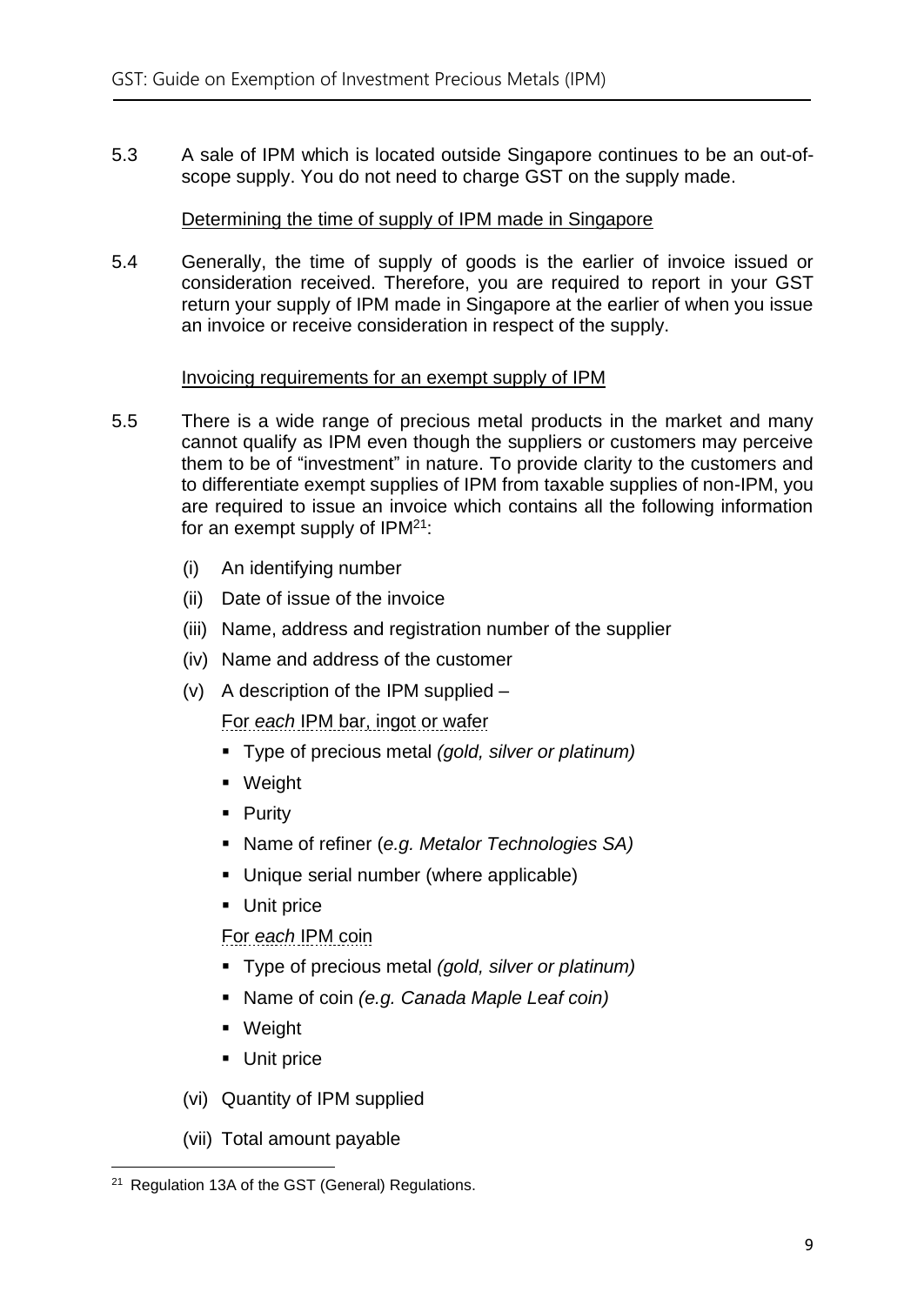5.3 A sale of IPM which is located outside Singapore continues to be an out-ofscope supply. You do not need to charge GST on the supply made.

#### Determining the time of supply of IPM made in Singapore

5.4 Generally, the time of supply of goods is the earlier of invoice issued or consideration received. Therefore, you are required to report in your GST return your supply of IPM made in Singapore at the earlier of when you issue an invoice or receive consideration in respect of the supply.

#### Invoicing requirements for an exempt supply of IPM

- 5.5 There is a wide range of precious metal products in the market and many cannot qualify as IPM even though the suppliers or customers may perceive them to be of "investment" in nature. To provide clarity to the customers and to differentiate exempt supplies of IPM from taxable supplies of non-IPM, you are required to issue an invoice which contains all the following information for an exempt supply of IPM<sup>21</sup>:
	- (i) An identifying number
	- (ii) Date of issue of the invoice
	- (iii) Name, address and registration number of the supplier
	- (iv) Name and address of the customer
	- (v) A description of the IPM supplied –

For *each* IPM bar, ingot or wafer

- Type of precious metal *(gold, silver or platinum)*
- Weight
- Purity
- Name of refiner (*e.g. Metalor Technologies SA)*
- Unique serial number (where applicable)
- Unit price

For *each* IPM coin

- Type of precious metal *(gold, silver or platinum)*
- Name of coin *(e.g. Canada Maple Leaf coin)*
- Weight
- Unit price
- (vi) Quantity of IPM supplied
- (vii) Total amount payable

<sup>21</sup> Regulation 13A of the GST (General) Regulations.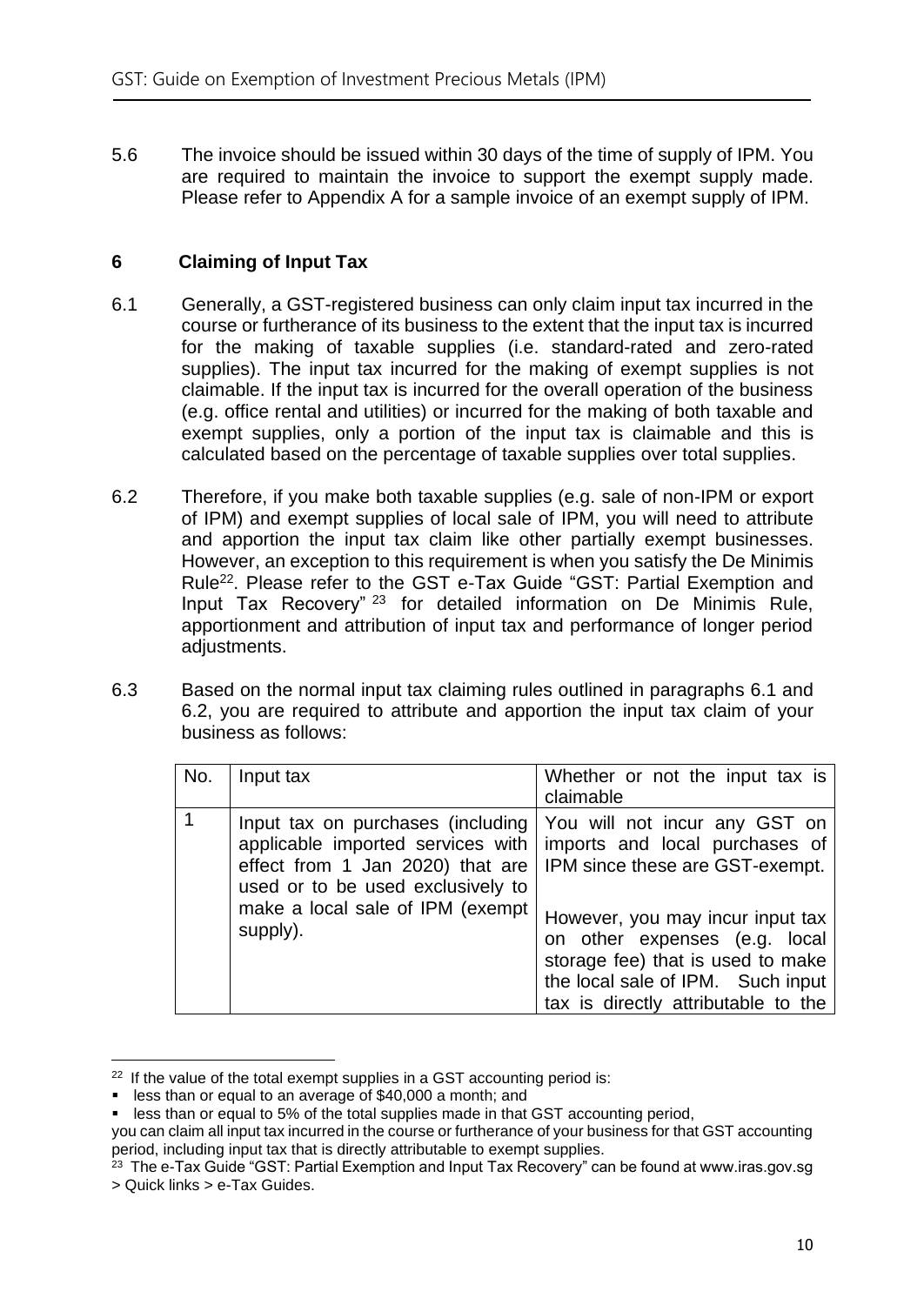5.6 The invoice should be issued within 30 days of the time of supply of IPM. You are required to maintain the invoice to support the exempt supply made. Please refer to Appendix A for a sample invoice of an exempt supply of IPM.

#### <span id="page-12-0"></span>**6 Claiming of Input Tax**

- 6.1 Generally, a GST-registered business can only claim input tax incurred in the course or furtherance of its business to the extent that the input tax is incurred for the making of taxable supplies (i.e. standard-rated and zero-rated supplies). The input tax incurred for the making of exempt supplies is not claimable. If the input tax is incurred for the overall operation of the business (e.g. office rental and utilities) or incurred for the making of both taxable and exempt supplies, only a portion of the input tax is claimable and this is calculated based on the percentage of taxable supplies over total supplies.
- 6.2 Therefore, if you make both taxable supplies (e.g. sale of non-IPM or export of IPM) and exempt supplies of local sale of IPM, you will need to attribute and apportion the input tax claim like other partially exempt businesses. However, an exception to this requirement is when you satisfy the De Minimis Rule<sup>22</sup>. Please refer to the GST e-Tax Guide "GST: Partial Exemption and Input Tax Recovery" <sup>23</sup> for detailed information on De Minimis Rule, apportionment and attribution of input tax and performance of longer period adjustments.
- 6.3 Based on the normal input tax claiming rules outlined in paragraphs 6.1 and 6.2, you are required to attribute and apportion the input tax claim of your business as follows:

| No. | Input tax                                                                                                                                                                                                                                                       | Whether or not the input tax is<br>claimable                                                                                                                                                                         |
|-----|-----------------------------------------------------------------------------------------------------------------------------------------------------------------------------------------------------------------------------------------------------------------|----------------------------------------------------------------------------------------------------------------------------------------------------------------------------------------------------------------------|
|     | Input tax on purchases (including You will not incur any GST on<br>applicable imported services with<br>effect from 1 Jan 2020) that are   IPM since these are GST-exempt.<br>used or to be used exclusively to<br>make a local sale of IPM (exempt<br>supply). | imports and local purchases of<br>However, you may incur input tax<br>on other expenses (e.g. local<br>storage fee) that is used to make<br>the local sale of IPM. Such input<br>tax is directly attributable to the |

 $22$  If the value of the total exempt supplies in a GST accounting period is:

<sup>■</sup> less than or equal to an average of \$40,000 a month; and

<sup>■</sup> less than or equal to 5% of the total supplies made in that GST accounting period,

you can claim all input tax incurred in the course or furtherance of your business for that GST accounting period, including input tax that is directly attributable to exempt supplies.

<sup>&</sup>lt;sup>23</sup> The e-Tax Guide "GST: Partial Exemption and Input Tax Recovery" can be found at www.iras.gov.sg > Quick links > e-Tax Guides.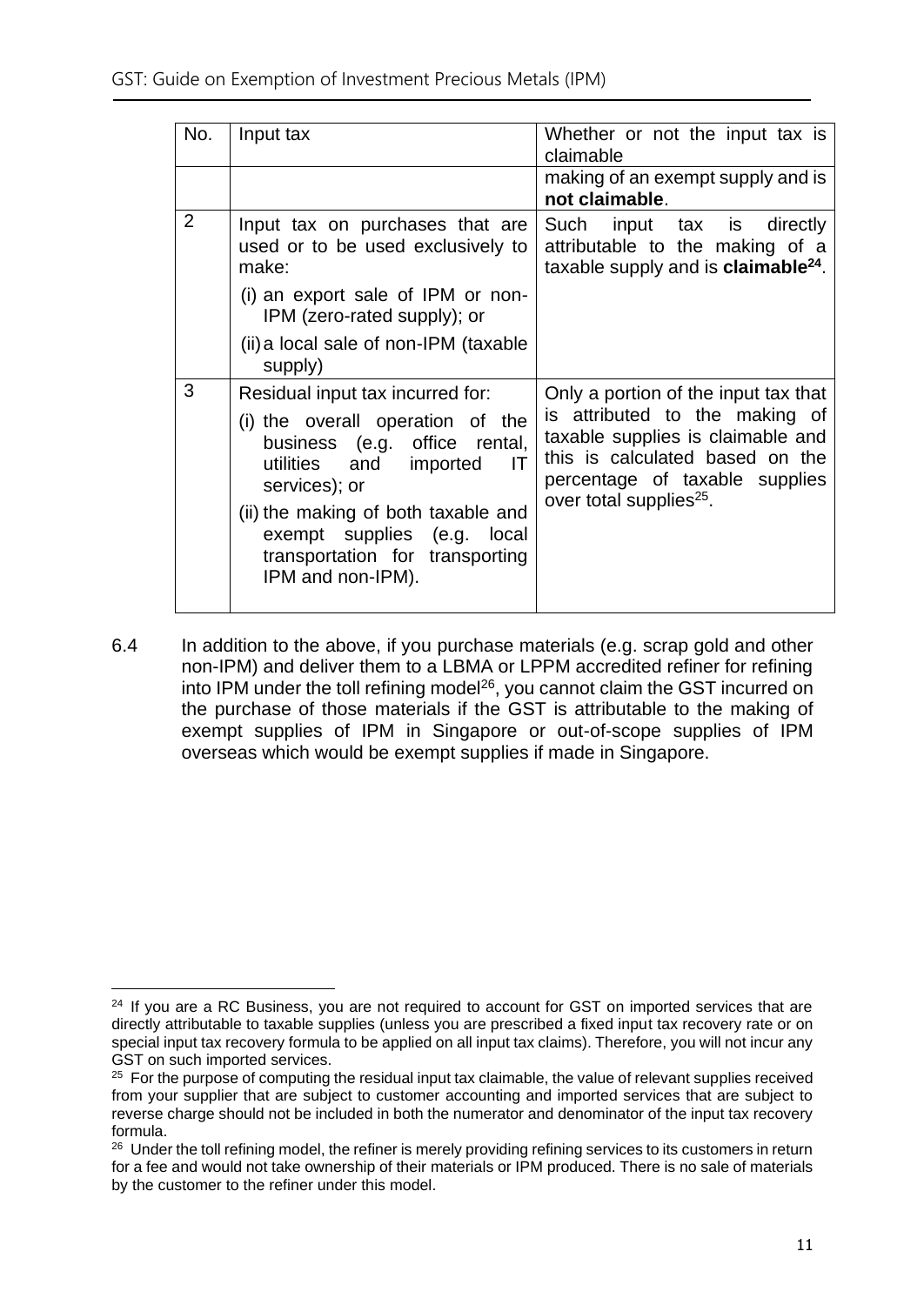| Input tax                                                                                                                                                                                                                                                                                      | Whether or not the input tax is<br>claimable                                                                                                                                                                            |
|------------------------------------------------------------------------------------------------------------------------------------------------------------------------------------------------------------------------------------------------------------------------------------------------|-------------------------------------------------------------------------------------------------------------------------------------------------------------------------------------------------------------------------|
|                                                                                                                                                                                                                                                                                                | making of an exempt supply and is<br>not claimable.                                                                                                                                                                     |
| Input tax on purchases that are<br>used or to be used exclusively to<br>make:                                                                                                                                                                                                                  | Such<br>input tax is<br>directly<br>attributable to the making of a<br>taxable supply and is claimable <sup>24</sup> .                                                                                                  |
| (i) an export sale of IPM or non-<br>IPM (zero-rated supply); or                                                                                                                                                                                                                               |                                                                                                                                                                                                                         |
| (ii) a local sale of non-IPM (taxable<br>supply)                                                                                                                                                                                                                                               |                                                                                                                                                                                                                         |
| Residual input tax incurred for:<br>(i) the overall operation of the<br>business (e.g. office rental,<br>utilities and imported<br>$\mathsf{I}$<br>services); or<br>(ii) the making of both taxable and<br>exempt supplies (e.g. local<br>transportation for transporting<br>IPM and non-IPM). | Only a portion of the input tax that<br>is attributed to the making of<br>taxable supplies is claimable and<br>this is calculated based on the<br>percentage of taxable supplies<br>over total supplies <sup>25</sup> . |
|                                                                                                                                                                                                                                                                                                |                                                                                                                                                                                                                         |

6.4 In addition to the above, if you purchase materials (e.g. scrap gold and other non-IPM) and deliver them to a LBMA or LPPM accredited refiner for refining into IPM under the toll refining model<sup>26</sup>, you cannot claim the GST incurred on the purchase of those materials if the GST is attributable to the making of exempt supplies of IPM in Singapore or out-of-scope supplies of IPM overseas which would be exempt supplies if made in Singapore.

<sup>&</sup>lt;sup>24</sup> If you are a RC Business, you are not required to account for GST on imported services that are directly attributable to taxable supplies (unless you are prescribed a fixed input tax recovery rate or on special input tax recovery formula to be applied on all input tax claims). Therefore, you will not incur any GST on such imported services.

<sup>&</sup>lt;sup>25</sup> For the purpose of computing the residual input tax claimable, the value of relevant supplies received from your supplier that are subject to customer accounting and imported services that are subject to reverse charge should not be included in both the numerator and denominator of the input tax recovery formula.

<sup>&</sup>lt;sup>26</sup> Under the toll refining model, the refiner is merely providing refining services to its customers in return for a fee and would not take ownership of their materials or IPM produced. There is no sale of materials by the customer to the refiner under this model.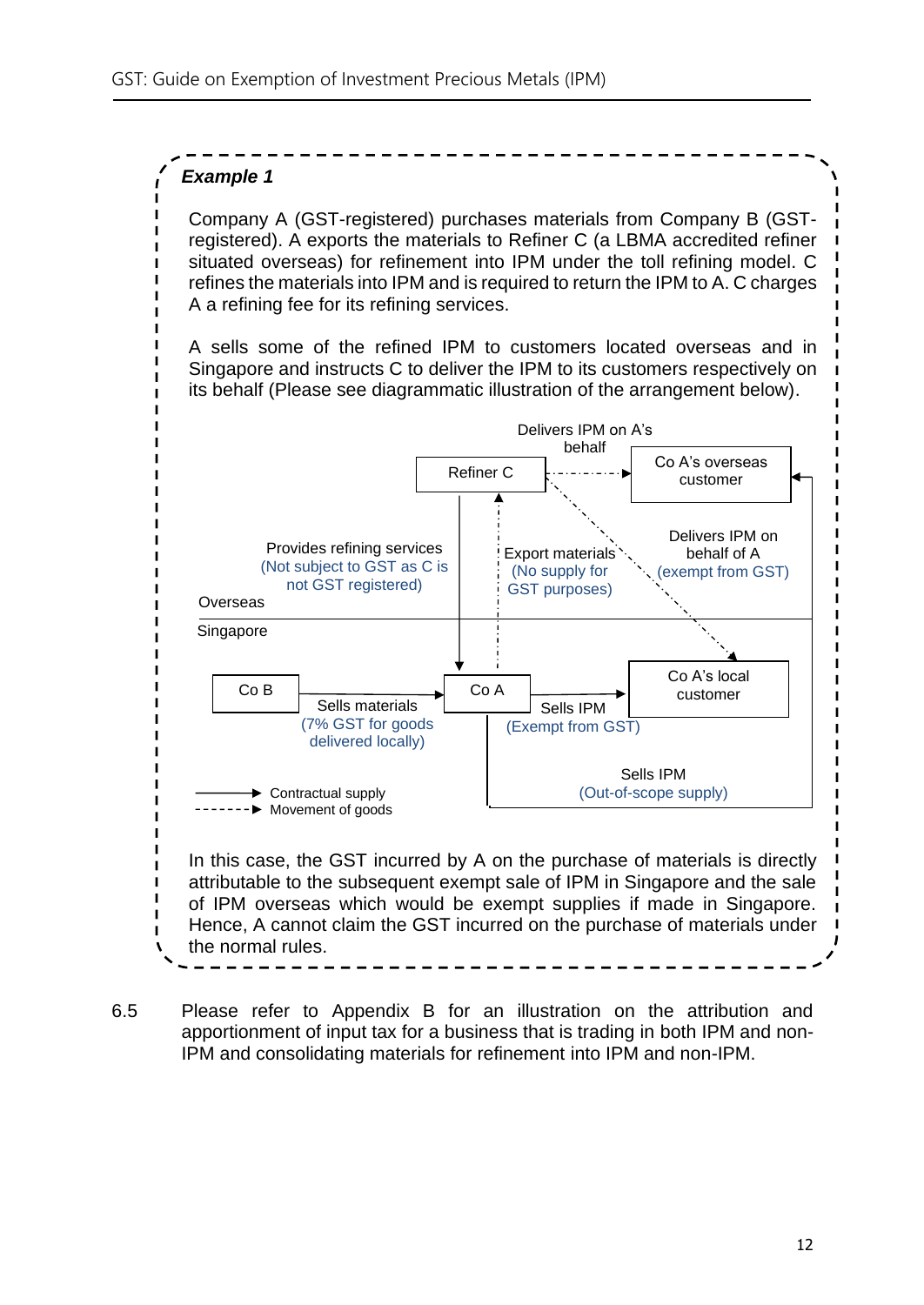#### *Example 1*

Company A (GST-registered) purchases materials from Company B (GSTregistered). A exports the materials to Refiner C (a LBMA accredited refiner situated overseas) for refinement into IPM under the toll refining model. C refines the materials into IPM and is required to return the IPM to A. C charges A a refining fee for its refining services.

A sells some of the refined IPM to customers located overseas and in Singapore and instructs C to deliver the IPM to its customers respectively on its behalf (Please see diagrammatic illustration of the arrangement below).



6.5 Please refer to Appendix B for an illustration on the attribution and apportionment of input tax for a business that is trading in both IPM and non-IPM and consolidating materials for refinement into IPM and non-IPM.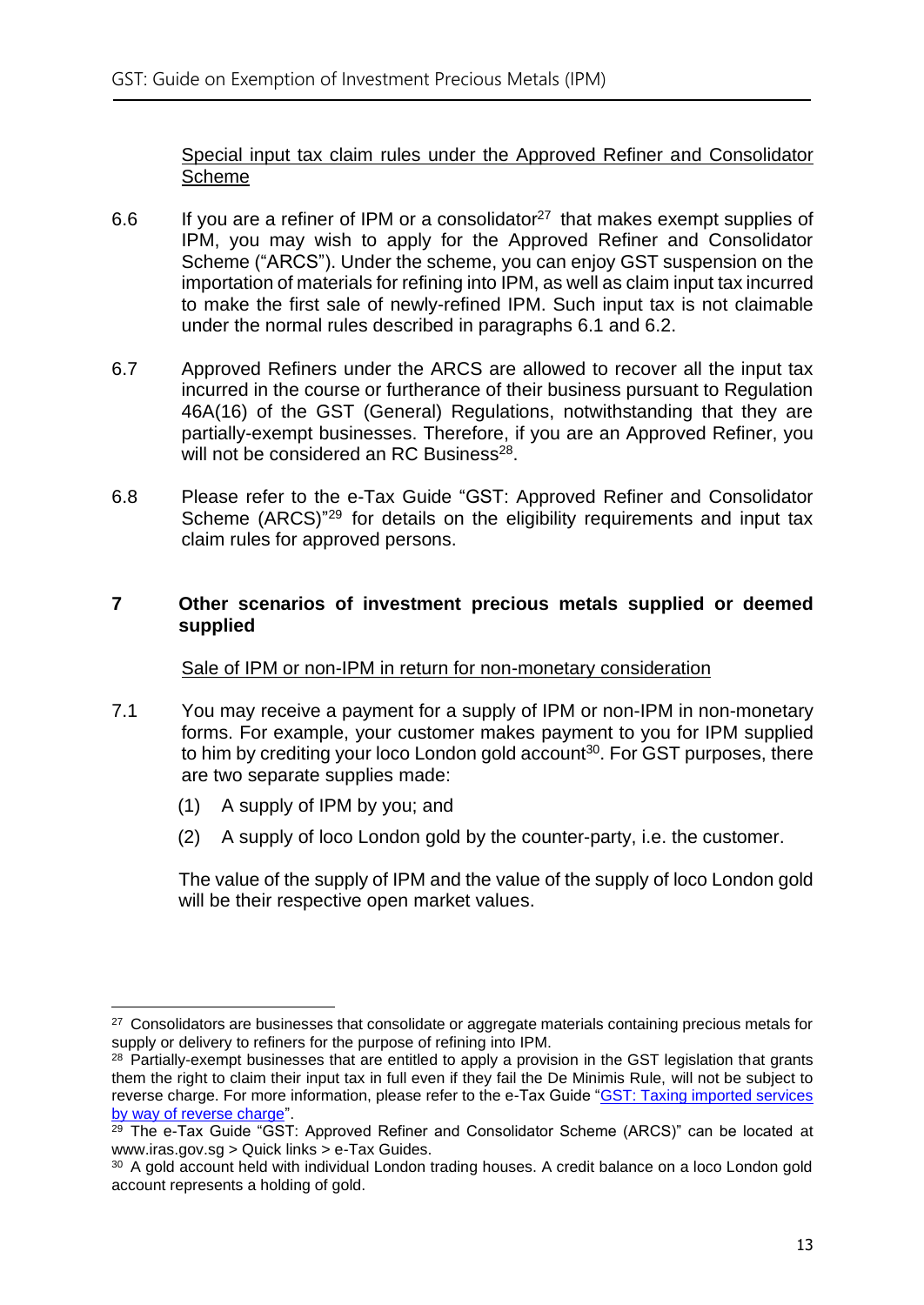Special input tax claim rules under the Approved Refiner and Consolidator Scheme

- 6.6 If you are a refiner of IPM or a consolidator<sup>27</sup> that makes exempt supplies of IPM, you may wish to apply for the Approved Refiner and Consolidator Scheme ("ARCS"). Under the scheme, you can enjoy GST suspension on the importation of materials for refining into IPM, as well as claim input tax incurred to make the first sale of newly-refined IPM. Such input tax is not claimable under the normal rules described in paragraphs 6.1 and 6.2.
- 6.7 Approved Refiners under the ARCS are allowed to recover all the input tax incurred in the course or furtherance of their business pursuant to Regulation 46A(16) of the GST (General) Regulations, notwithstanding that they are partially-exempt businesses. Therefore, if you are an Approved Refiner, you will not be considered an RC Business<sup>28</sup>.
- 6.8 Please refer to the e-Tax Guide "GST: Approved Refiner and Consolidator Scheme (ARCS)<sup>"29</sup> for details on the eligibility requirements and input tax claim rules for approved persons.

#### <span id="page-15-0"></span>**7 Other scenarios of investment precious metals supplied or deemed supplied**

#### Sale of IPM or non-IPM in return for non-monetary consideration

- 7.1 You may receive a payment for a supply of IPM or non-IPM in non-monetary forms. For example, your customer makes payment to you for IPM supplied to him by crediting your loco London gold account<sup>30</sup>. For GST purposes, there are two separate supplies made:
	- (1) A supply of IPM by you; and
	- (2) A supply of loco London gold by the counter-party, i.e. the customer.

The value of the supply of IPM and the value of the supply of loco London gold will be their respective open market values.

<sup>&</sup>lt;sup>27</sup> Consolidators are businesses that consolidate or aggregate materials containing precious metals for supply or delivery to refiners for the purpose of refining into IPM.

<sup>&</sup>lt;sup>28</sup> Partially-exempt businesses that are entitled to apply a provision in the GST legislation that grants them the right to claim their input tax in full even if they fail the De Minimis Rule, will not be subject to reverse charge. For more information, please refer to the e-Tax Guide ["GST: Taxing imported services](https://www.iras.gov.sg/irashome/uploadedFiles/IRASHome/e-Tax_Guides/GST%20Taxing%20imported%20services%20by%20way%20of%20reverse%20charge%20(2nd%20Edition).pdf)  [by way of reverse charge"](https://www.iras.gov.sg/irashome/uploadedFiles/IRASHome/e-Tax_Guides/GST%20Taxing%20imported%20services%20by%20way%20of%20reverse%20charge%20(2nd%20Edition).pdf).

 $29$  The e-Tax Guide "GST: Approved Refiner and Consolidator Scheme (ARCS)" can be located at www.iras.gov.sg > Quick links > e-Tax Guides.

<sup>&</sup>lt;sup>30</sup> A gold account held with individual London trading houses. A credit balance on a loco London gold account represents a holding of gold.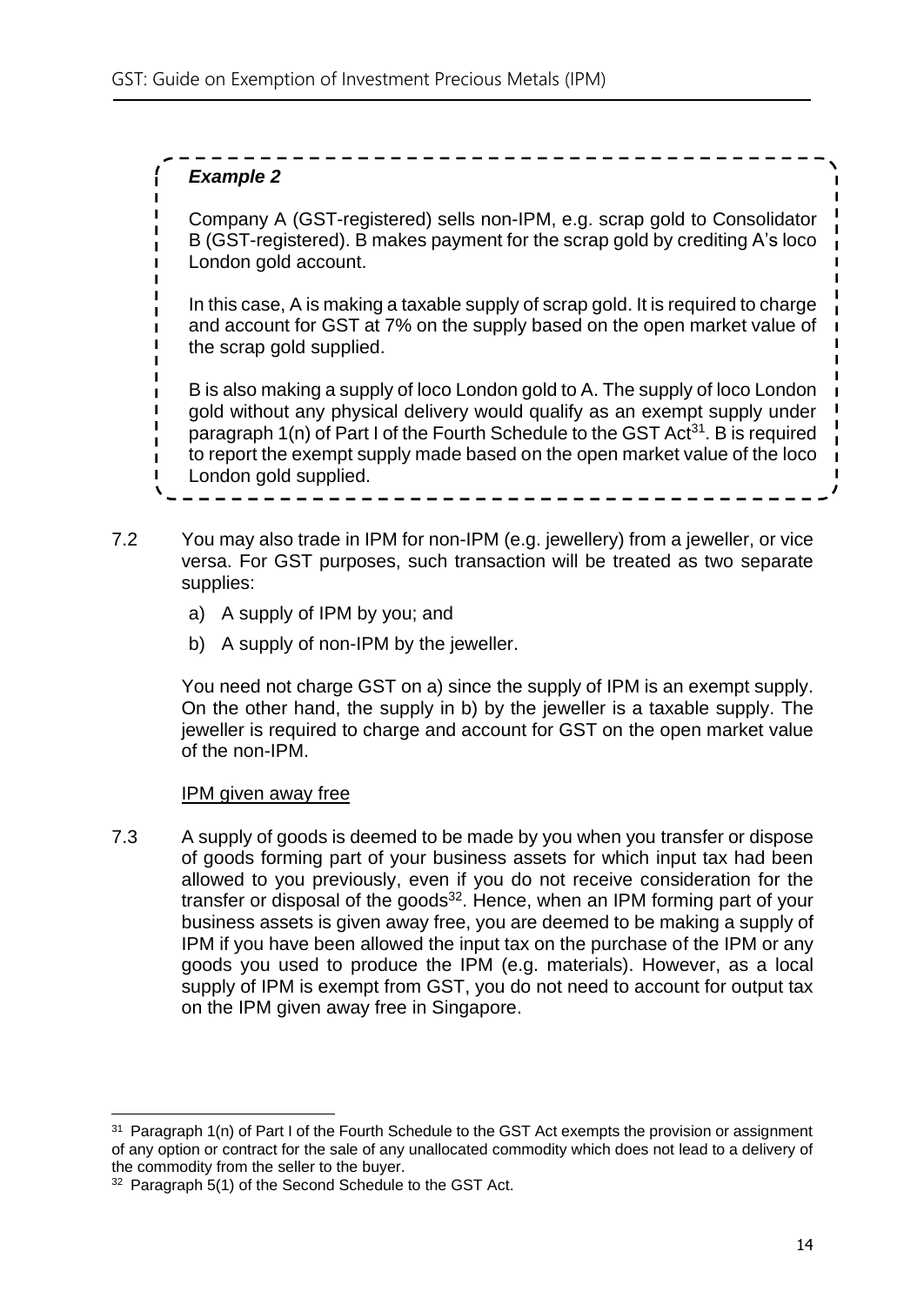#### *Example 2*

Company A (GST-registered) sells non-IPM, e.g. scrap gold to Consolidator B (GST-registered). B makes payment for the scrap gold by crediting A's loco London gold account.

In this case, A is making a taxable supply of scrap gold. It is required to charge and account for GST at 7% on the supply based on the open market value of the scrap gold supplied.

B is also making a supply of loco London gold to A. The supply of loco London gold without any physical delivery would qualify as an exempt supply under paragraph 1(n) of Part I of the Fourth Schedule to the GST Act<sup>31</sup>. B is required to report the exempt supply made based on the open market value of the loco London gold supplied.

- 7.2 You may also trade in IPM for non-IPM (e.g. jewellery) from a jeweller, or vice versa. For GST purposes, such transaction will be treated as two separate supplies:
	- a) A supply of IPM by you; and
	- b) A supply of non-IPM by the jeweller.

You need not charge GST on a) since the supply of IPM is an exempt supply. On the other hand, the supply in b) by the jeweller is a taxable supply. The jeweller is required to charge and account for GST on the open market value of the non-IPM.

#### IPM given away free

7.3 A supply of goods is deemed to be made by you when you transfer or dispose of goods forming part of your business assets for which input tax had been allowed to you previously, even if you do not receive consideration for the transfer or disposal of the goods<sup>32</sup>. Hence, when an IPM forming part of your business assets is given away free, you are deemed to be making a supply of IPM if you have been allowed the input tax on the purchase of the IPM or any goods you used to produce the IPM (e.g. materials). However, as a local supply of IPM is exempt from GST, you do not need to account for output tax on the IPM given away free in Singapore.

<sup>&</sup>lt;sup>31</sup> Paragraph 1(n) of Part I of the Fourth Schedule to the GST Act exempts the provision or assignment of any option or contract for the sale of any unallocated commodity which does not lead to a delivery of the commodity from the seller to the buyer.

<sup>&</sup>lt;sup>32</sup> Paragraph 5(1) of the Second Schedule to the GST Act.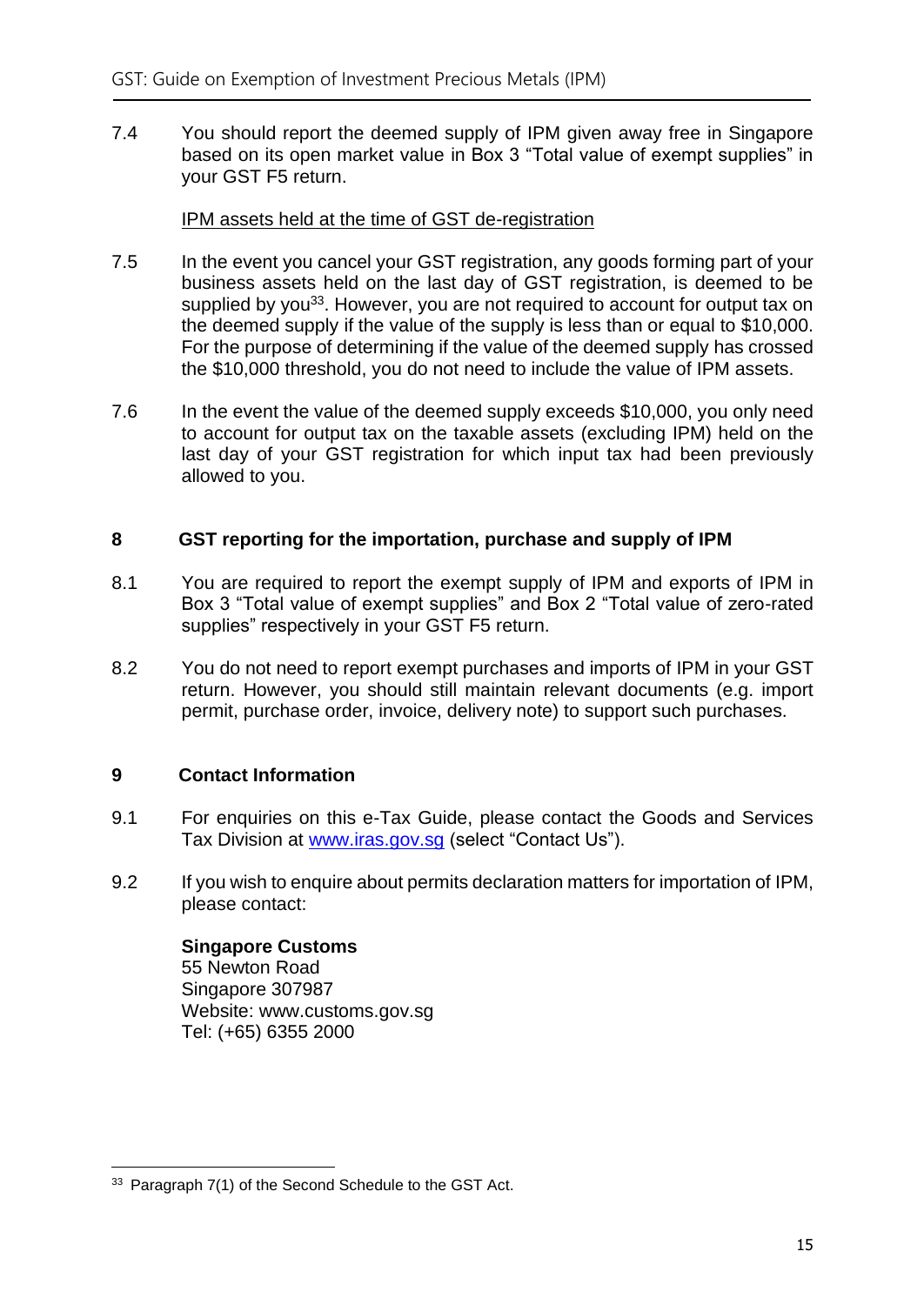7.4 You should report the deemed supply of IPM given away free in Singapore based on its open market value in Box 3 "Total value of exempt supplies" in your GST F5 return.

#### IPM assets held at the time of GST de-registration

- 7.5 In the event you cancel your GST registration, any goods forming part of your business assets held on the last day of GST registration, is deemed to be supplied by you<sup>33</sup>. However, you are not required to account for output tax on the deemed supply if the value of the supply is less than or equal to \$10,000. For the purpose of determining if the value of the deemed supply has crossed the \$10,000 threshold, you do not need to include the value of IPM assets.
- 7.6 In the event the value of the deemed supply exceeds \$10,000, you only need to account for output tax on the taxable assets (excluding IPM) held on the last day of your GST registration for which input tax had been previously allowed to you.

#### <span id="page-17-0"></span>**8 GST reporting for the importation, purchase and supply of IPM**

- 8.1 You are required to report the exempt supply of IPM and exports of IPM in Box 3 "Total value of exempt supplies" and Box 2 "Total value of zero-rated supplies" respectively in your GST F5 return.
- 8.2 You do not need to report exempt purchases and imports of IPM in your GST return. However, you should still maintain relevant documents (e.g. import permit, purchase order, invoice, delivery note) to support such purchases.

#### <span id="page-17-1"></span>**9 Contact Information**

- 9.1 For enquiries on this e-Tax Guide, please contact the Goods and Services Tax Division at [www.iras.gov.sg](http://www.iras.gov.sg/) (select "Contact Us").
- 9.2 If you wish to enquire about permits declaration matters for importation of IPM, please contact:

**Singapore Customs** 55 Newton Road Singapore 307987 Website: www.customs.gov.sg Tel: (+65) 6355 2000

<sup>&</sup>lt;sup>33</sup> Paragraph 7(1) of the Second Schedule to the GST Act.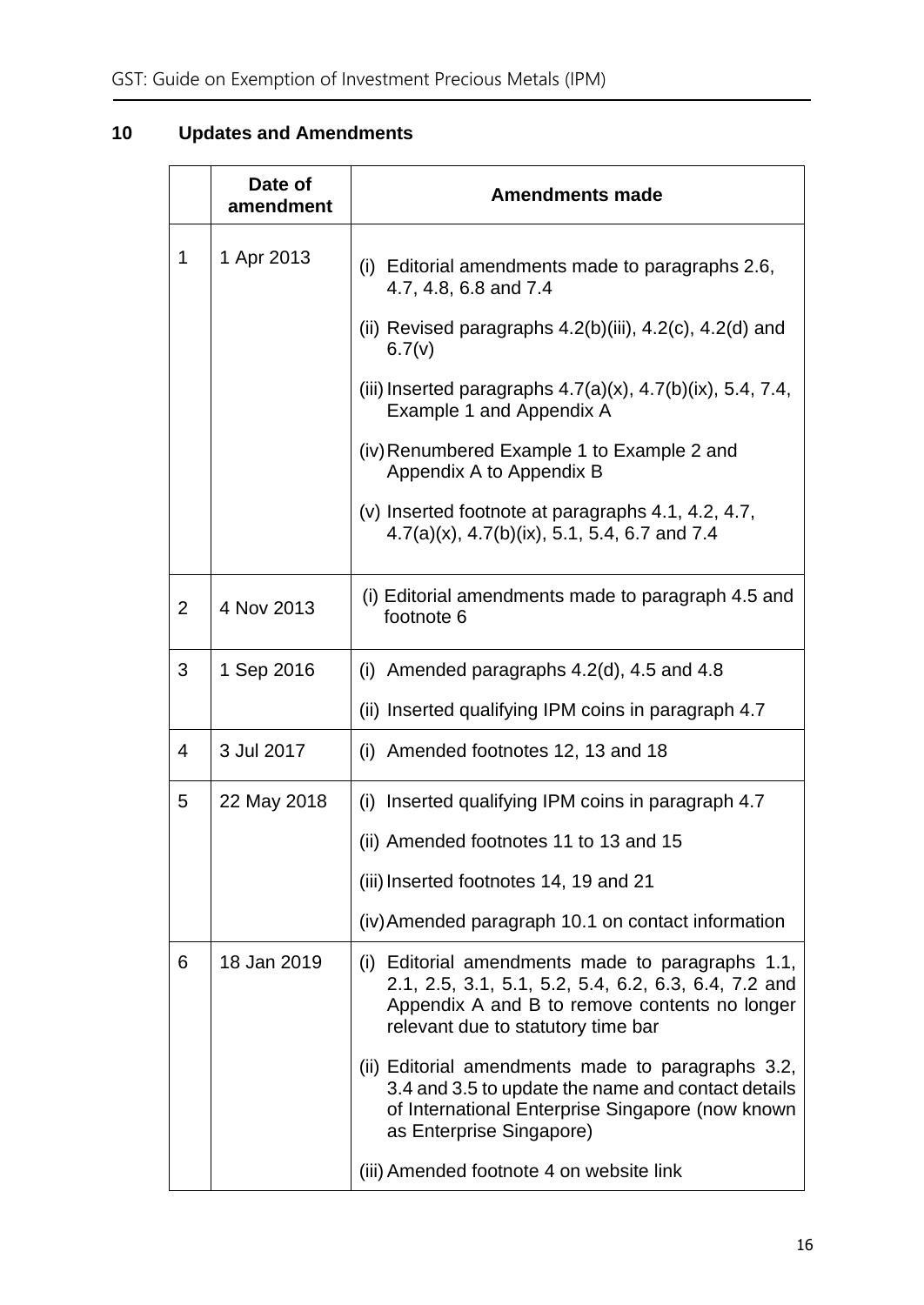## <span id="page-18-0"></span>**10 Updates and Amendments**

|   | Date of<br>amendment | <b>Amendments made</b>                                                                                                                                                                          |  |
|---|----------------------|-------------------------------------------------------------------------------------------------------------------------------------------------------------------------------------------------|--|
| 1 | 1 Apr 2013           | (i) Editorial amendments made to paragraphs 2.6,<br>4.7, 4.8, 6.8 and 7.4                                                                                                                       |  |
|   |                      | (ii) Revised paragraphs $4.2(b)$ (iii), $4.2(c)$ , $4.2(d)$ and<br>6.7(v)                                                                                                                       |  |
|   |                      | (iii) Inserted paragraphs $4.7(a)(x)$ , $4.7(b)(ix)$ , 5.4, 7.4,<br>Example 1 and Appendix A                                                                                                    |  |
|   |                      | (iv) Renumbered Example 1 to Example 2 and<br>Appendix A to Appendix B                                                                                                                          |  |
|   |                      | $(v)$ Inserted footnote at paragraphs 4.1, 4.2, 4.7,<br>$4.7(a)(x)$ , $4.7(b)(ix)$ , 5.1, 5.4, 6.7 and 7.4                                                                                      |  |
| 2 | 4 Nov 2013           | (i) Editorial amendments made to paragraph 4.5 and<br>footnote 6                                                                                                                                |  |
| 3 | 1 Sep 2016           | (i) Amended paragraphs $4.2$ (d), $4.5$ and $4.8$                                                                                                                                               |  |
|   |                      | (ii) Inserted qualifying IPM coins in paragraph 4.7                                                                                                                                             |  |
| 4 | 3 Jul 2017           | (i) Amended footnotes 12, 13 and 18                                                                                                                                                             |  |
| 5 | 22 May 2018          | (i) Inserted qualifying IPM coins in paragraph 4.7                                                                                                                                              |  |
|   |                      | (ii) Amended footnotes 11 to 13 and 15                                                                                                                                                          |  |
|   |                      | (iii) Inserted footnotes 14, 19 and 21                                                                                                                                                          |  |
|   |                      | (iv) Amended paragraph 10.1 on contact information                                                                                                                                              |  |
| 6 | 18 Jan 2019          | (i) Editorial amendments made to paragraphs 1.1,<br>2.1, 2.5, 3.1, 5.1, 5.2, 5.4, 6.2, 6.3, 6.4, 7.2 and<br>Appendix A and B to remove contents no longer<br>relevant due to statutory time bar |  |
|   |                      | (ii) Editorial amendments made to paragraphs 3.2,<br>3.4 and 3.5 to update the name and contact details<br>of International Enterprise Singapore (now known<br>as Enterprise Singapore)         |  |
|   |                      | (iii) Amended footnote 4 on website link                                                                                                                                                        |  |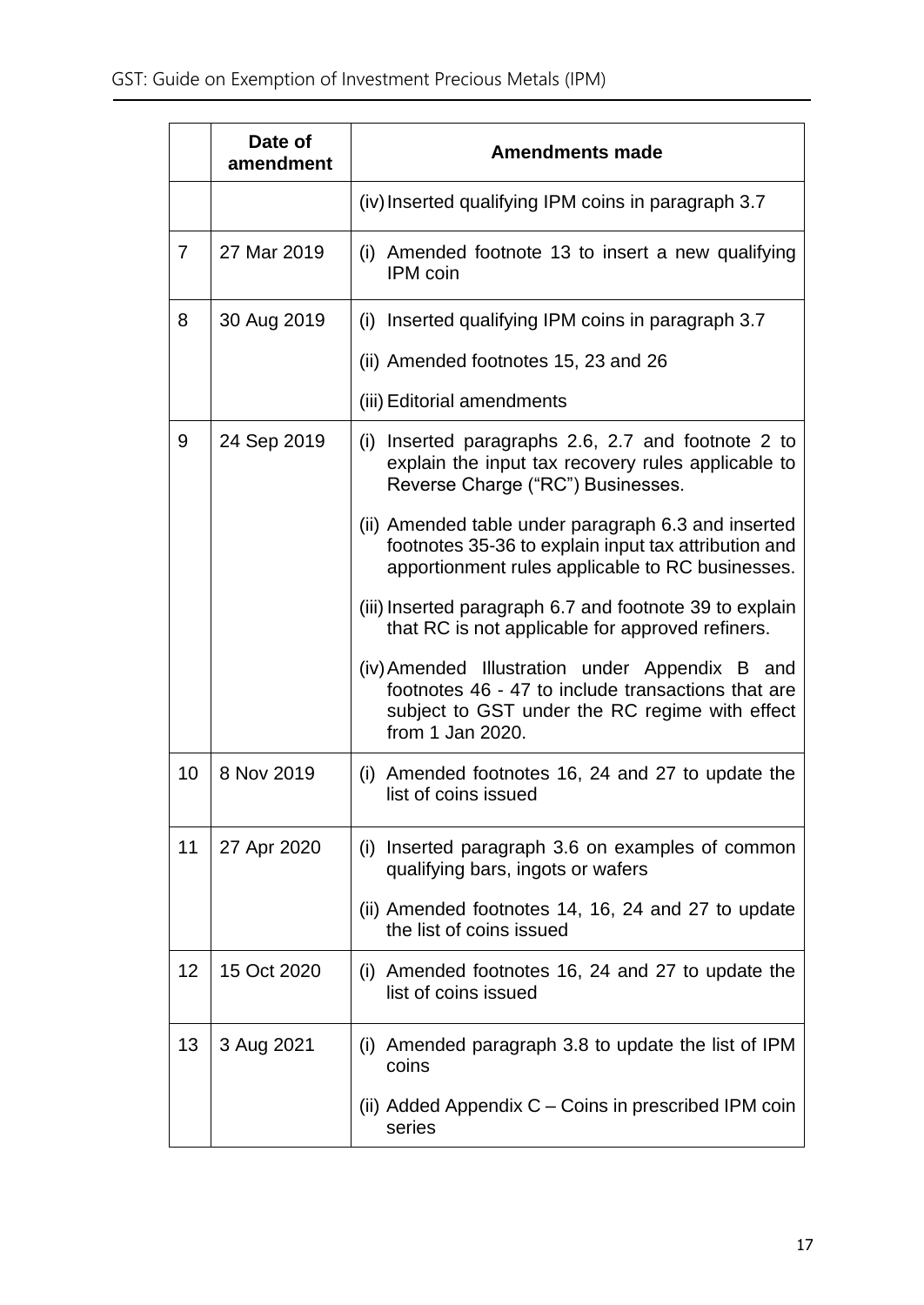|                 | Date of<br>amendment | <b>Amendments made</b>                                                                                                                                                     |  |
|-----------------|----------------------|----------------------------------------------------------------------------------------------------------------------------------------------------------------------------|--|
|                 |                      | (iv) Inserted qualifying IPM coins in paragraph 3.7                                                                                                                        |  |
| $\overline{7}$  | 27 Mar 2019          | (i) Amended footnote 13 to insert a new qualifying<br><b>IPM</b> coin                                                                                                      |  |
| 8               | 30 Aug 2019          | (i) Inserted qualifying IPM coins in paragraph 3.7                                                                                                                         |  |
|                 |                      | (ii) Amended footnotes 15, 23 and 26                                                                                                                                       |  |
|                 |                      | (iii) Editorial amendments                                                                                                                                                 |  |
| 9               | 24 Sep 2019          | (i) Inserted paragraphs 2.6, 2.7 and footnote 2 to<br>explain the input tax recovery rules applicable to<br>Reverse Charge ("RC") Businesses.                              |  |
|                 |                      | (ii) Amended table under paragraph 6.3 and inserted<br>footnotes 35-36 to explain input tax attribution and<br>apportionment rules applicable to RC businesses.            |  |
|                 |                      | (iii) Inserted paragraph 6.7 and footnote 39 to explain<br>that RC is not applicable for approved refiners.                                                                |  |
|                 |                      | (iv) Amended Illustration under Appendix B and<br>footnotes 46 - 47 to include transactions that are<br>subject to GST under the RC regime with effect<br>from 1 Jan 2020. |  |
| 10 <sup>°</sup> | 8 Nov 2019           | (i) Amended footnotes 16, 24 and 27 to update the<br>list of coins issued                                                                                                  |  |
| 11              | 27 Apr 2020          | (i) Inserted paragraph 3.6 on examples of common<br>qualifying bars, ingots or wafers                                                                                      |  |
|                 |                      | (ii) Amended footnotes 14, 16, 24 and 27 to update<br>the list of coins issued                                                                                             |  |
| 12              | 15 Oct 2020          | (i) Amended footnotes 16, 24 and 27 to update the<br>list of coins issued                                                                                                  |  |
| 13              | 3 Aug 2021           | (i) Amended paragraph 3.8 to update the list of IPM<br>coins                                                                                                               |  |
|                 |                      | (ii) Added Appendix $C -$ Coins in prescribed IPM coin<br>series                                                                                                           |  |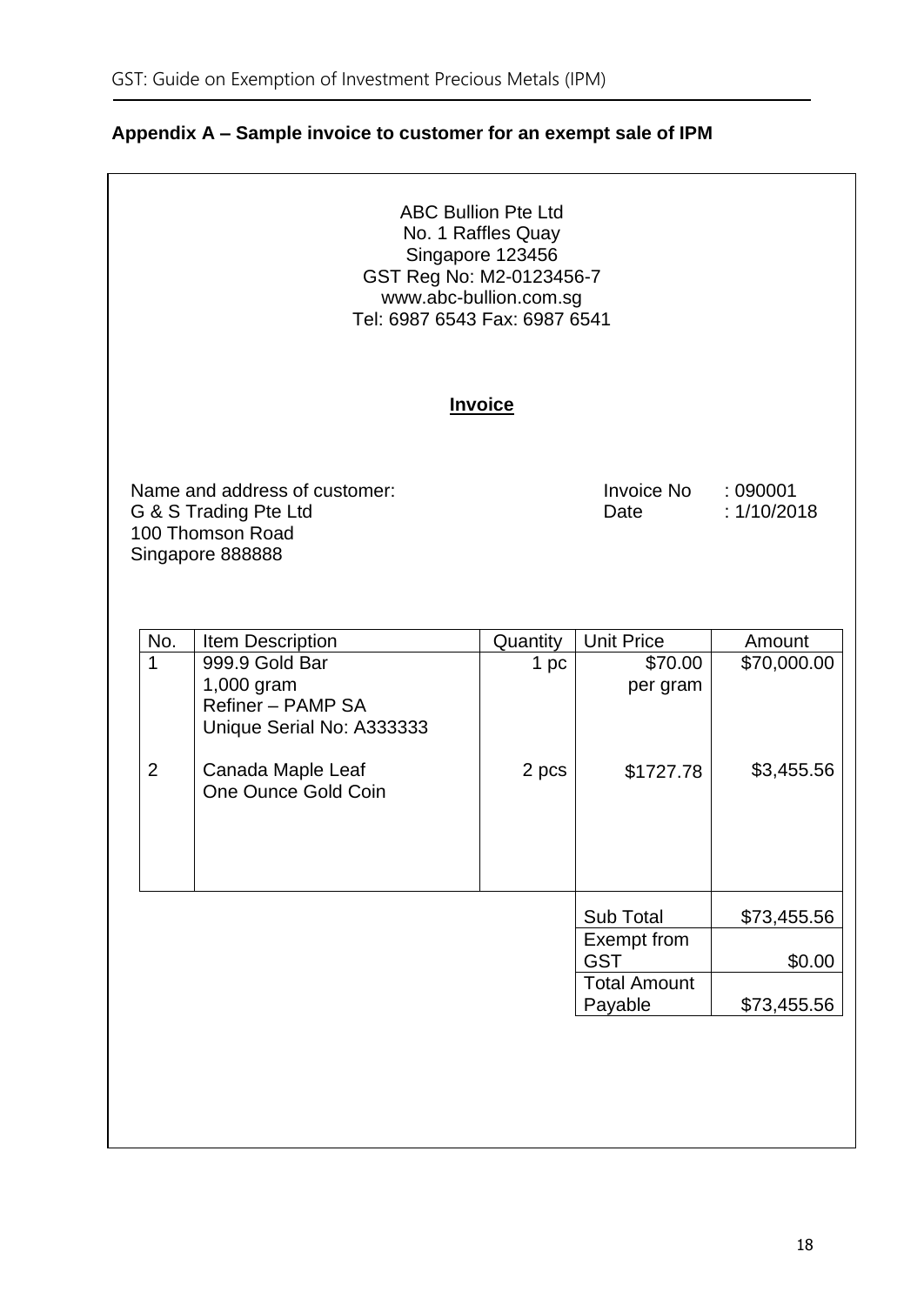| <b>ABC Bullion Pte Ltd</b><br>No. 1 Raffles Quay<br>Singapore 123456<br>GST Reg No: M2-0123456-7<br>www.abc-bullion.com.sg<br>Tel: 6987 6543 Fax: 6987 6541 |                                                                                                                                                |                |                                |             |  |  |
|-------------------------------------------------------------------------------------------------------------------------------------------------------------|------------------------------------------------------------------------------------------------------------------------------------------------|----------------|--------------------------------|-------------|--|--|
|                                                                                                                                                             |                                                                                                                                                | <b>Invoice</b> |                                |             |  |  |
|                                                                                                                                                             | Name and address of customer:<br>Invoice No<br>:090001<br>G & S Trading Pte Ltd<br>: 1/10/2018<br>Date<br>100 Thomson Road<br>Singapore 888888 |                |                                |             |  |  |
| No.                                                                                                                                                         | <b>Item Description</b>                                                                                                                        | Quantity       | <b>Unit Price</b>              | Amount      |  |  |
| $\overline{1}$                                                                                                                                              | 999.9 Gold Bar<br>1,000 gram<br>Refiner - PAMP SA<br>Unique Serial No: A333333                                                                 | 1 pc           | \$70.00<br>per gram            | \$70,000.00 |  |  |
| $\overline{2}$                                                                                                                                              | Canada Maple Leaf<br>One Ounce Gold Coin                                                                                                       | 2 pcs          | \$1727.78                      | \$3,455.56  |  |  |
|                                                                                                                                                             |                                                                                                                                                |                | Sub Total                      | \$73,455.56 |  |  |
|                                                                                                                                                             |                                                                                                                                                |                | Exempt from<br><b>GST</b>      | \$0.00      |  |  |
|                                                                                                                                                             |                                                                                                                                                |                | <b>Total Amount</b><br>Payable | \$73,455.56 |  |  |
|                                                                                                                                                             |                                                                                                                                                |                |                                |             |  |  |

## <span id="page-20-0"></span>**Appendix A – Sample invoice to customer for an exempt sale of IPM**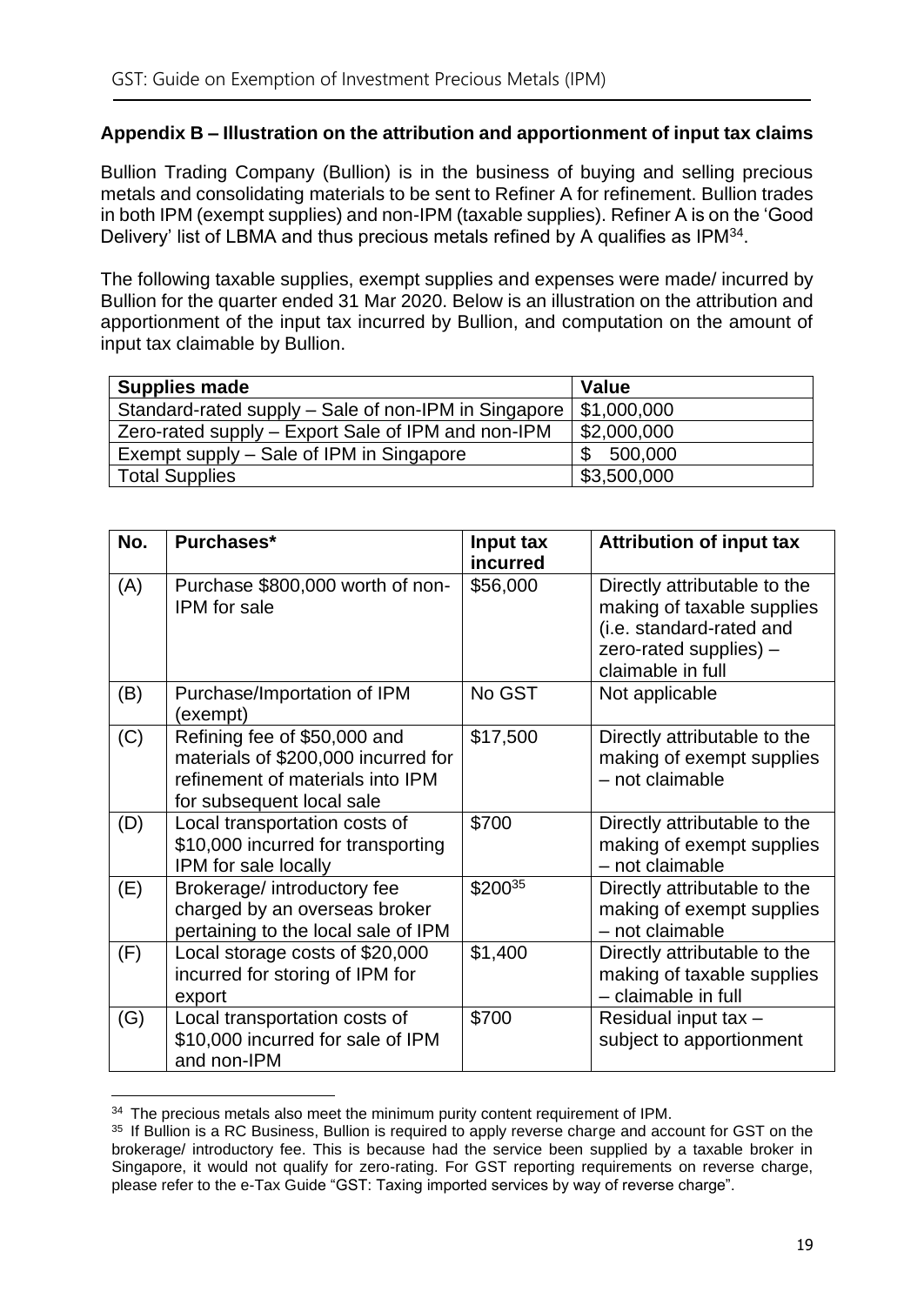#### <span id="page-21-0"></span>**Appendix B – Illustration on the attribution and apportionment of input tax claims**

Bullion Trading Company (Bullion) is in the business of buying and selling precious metals and consolidating materials to be sent to Refiner A for refinement. Bullion trades in both IPM (exempt supplies) and non-IPM (taxable supplies). Refiner A is on the 'Good Delivery' list of LBMA and thus precious metals refined by A qualifies as IPM<sup>34</sup>.

The following taxable supplies, exempt supplies and expenses were made/ incurred by Bullion for the quarter ended 31 Mar 2020. Below is an illustration on the attribution and apportionment of the input tax incurred by Bullion, and computation on the amount of input tax claimable by Bullion.

| <b>Supplies made</b>                                 | <b>Value</b> |
|------------------------------------------------------|--------------|
| Standard-rated supply – Sale of non-IPM in Singapore | \$1,000,000  |
| Zero-rated supply – Export Sale of IPM and non-IPM   | \$2,000,000  |
| Exempt supply – Sale of IPM in Singapore             | 500,000      |
| Total Supplies                                       | \$3,500,000  |

| No. | Purchases*                                                                                                                           | Input tax<br>incurred | <b>Attribution of input tax</b>                                                                                                       |
|-----|--------------------------------------------------------------------------------------------------------------------------------------|-----------------------|---------------------------------------------------------------------------------------------------------------------------------------|
| (A) | Purchase \$800,000 worth of non-<br><b>IPM</b> for sale                                                                              | \$56,000              | Directly attributable to the<br>making of taxable supplies<br>(i.e. standard-rated and<br>zero-rated supplies) -<br>claimable in full |
| (B) | Purchase/Importation of IPM<br>(exempt)                                                                                              | No GST                | Not applicable                                                                                                                        |
| (C) | Refining fee of \$50,000 and<br>materials of \$200,000 incurred for<br>refinement of materials into IPM<br>for subsequent local sale | \$17,500              | Directly attributable to the<br>making of exempt supplies<br>- not claimable                                                          |
| (D) | Local transportation costs of<br>\$10,000 incurred for transporting<br>IPM for sale locally                                          | \$700                 | Directly attributable to the<br>making of exempt supplies<br>- not claimable                                                          |
| (E) | Brokerage/ introductory fee<br>charged by an overseas broker<br>pertaining to the local sale of IPM                                  | \$20035               | Directly attributable to the<br>making of exempt supplies<br>- not claimable                                                          |
| (F) | Local storage costs of \$20,000<br>incurred for storing of IPM for<br>export                                                         | \$1,400               | Directly attributable to the<br>making of taxable supplies<br>- claimable in full                                                     |
| (G) | Local transportation costs of<br>\$10,000 incurred for sale of IPM<br>and non-IPM                                                    | \$700                 | Residual input tax -<br>subject to apportionment                                                                                      |

 $34$  The precious metals also meet the minimum purity content requirement of IPM.

<sup>&</sup>lt;sup>35</sup> If Bullion is a RC Business, Bullion is required to apply reverse charge and account for GST on the brokerage/ introductory fee. This is because had the service been supplied by a taxable broker in Singapore, it would not qualify for zero-rating. For GST reporting requirements on reverse charge, please refer to the e-Tax Guide "GST: Taxing imported services by way of reverse charge".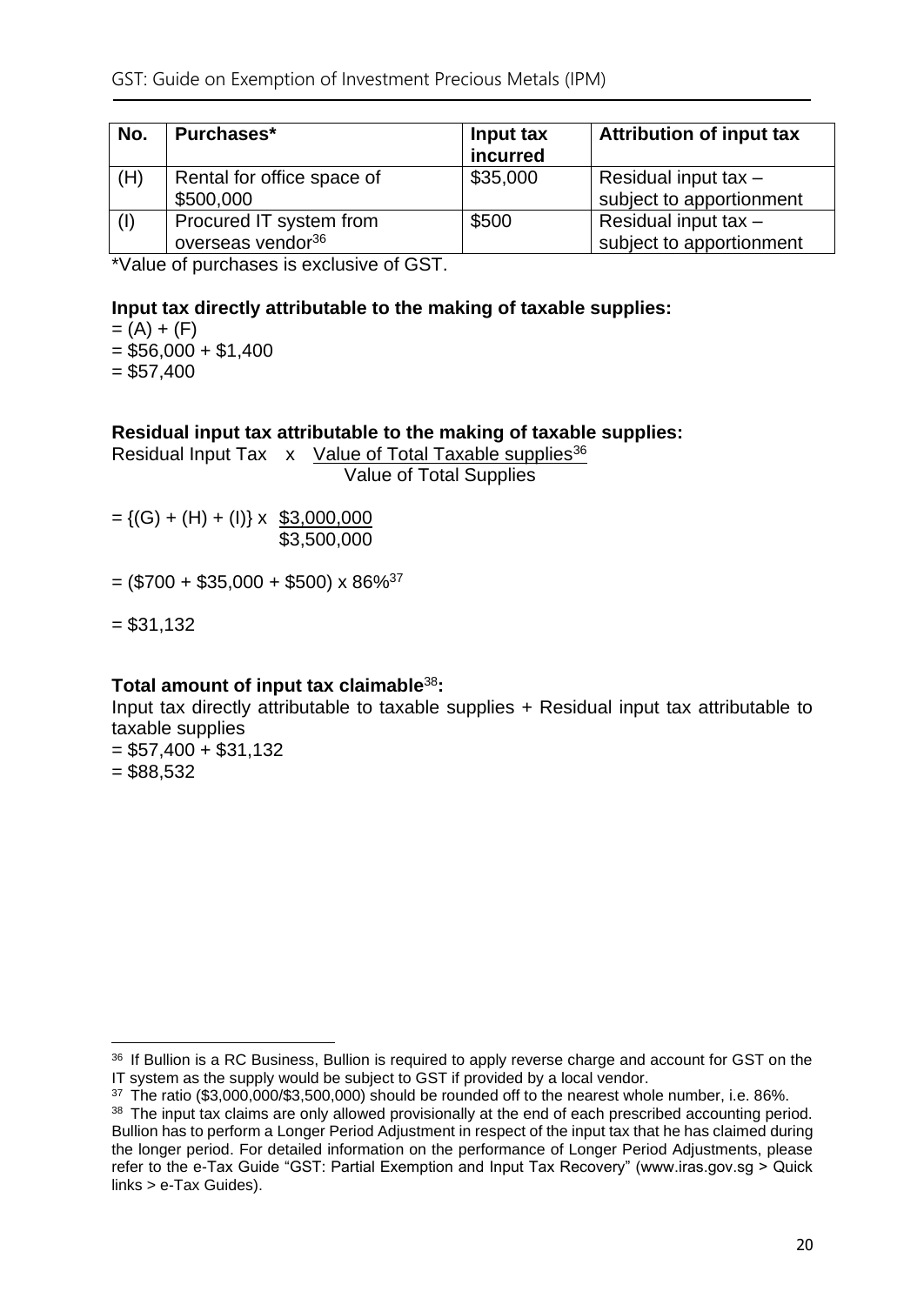| No.         | Purchases*                                               | Input tax<br>incurred | <b>Attribution of input tax</b>                    |
|-------------|----------------------------------------------------------|-----------------------|----------------------------------------------------|
| (H)         | Rental for office space of<br>\$500,000                  | \$35,000              | Residual input tax $-$<br>subject to apportionment |
| $\vert$ (I) | Procured IT system from<br>overseas vendor <sup>36</sup> | \$500                 | Residual input tax $-$<br>subject to apportionment |

\*Value of purchases is exclusive of GST.

#### **Input tax directly attributable to the making of taxable supplies:**

 $= (A) + (F)$ 

 $= $56,000 + $1,400$ 

 $= $57,400$ 

#### **Residual input tax attributable to the making of taxable supplies:**

Residual Input Tax x Value of Total Taxable supplies<sup>36</sup>

Value of Total Supplies

 $= \{(G) + (H) + (I)\}\times$  \$3,000,000 \$3,500,000

 $=$  (\$700 + \$35,000 + \$500) x 86%<sup>37</sup>

 $= $31,132$ 

#### **Total amount of input tax claimable**<sup>38</sup>**:**

Input tax directly attributable to taxable supplies + Residual input tax attributable to taxable supplies

 $= $57,400 + $31,132$  $= $88,532$ 

<sup>&</sup>lt;sup>36</sup> If Bullion is a RC Business, Bullion is required to apply reverse charge and account for GST on the IT system as the supply would be subject to GST if provided by a local vendor.

<sup>37</sup> The ratio (\$3,000,000/\$3,500,000) should be rounded off to the nearest whole number, i.e. 86%.

<sup>38</sup> The input tax claims are only allowed provisionally at the end of each prescribed accounting period. Bullion has to perform a Longer Period Adjustment in respect of the input tax that he has claimed during the longer period. For detailed information on the performance of Longer Period Adjustments, please refer to the e-Tax Guide "GST: Partial Exemption and Input Tax Recovery" (www.iras.gov.sg > Quick links > e-Tax Guides).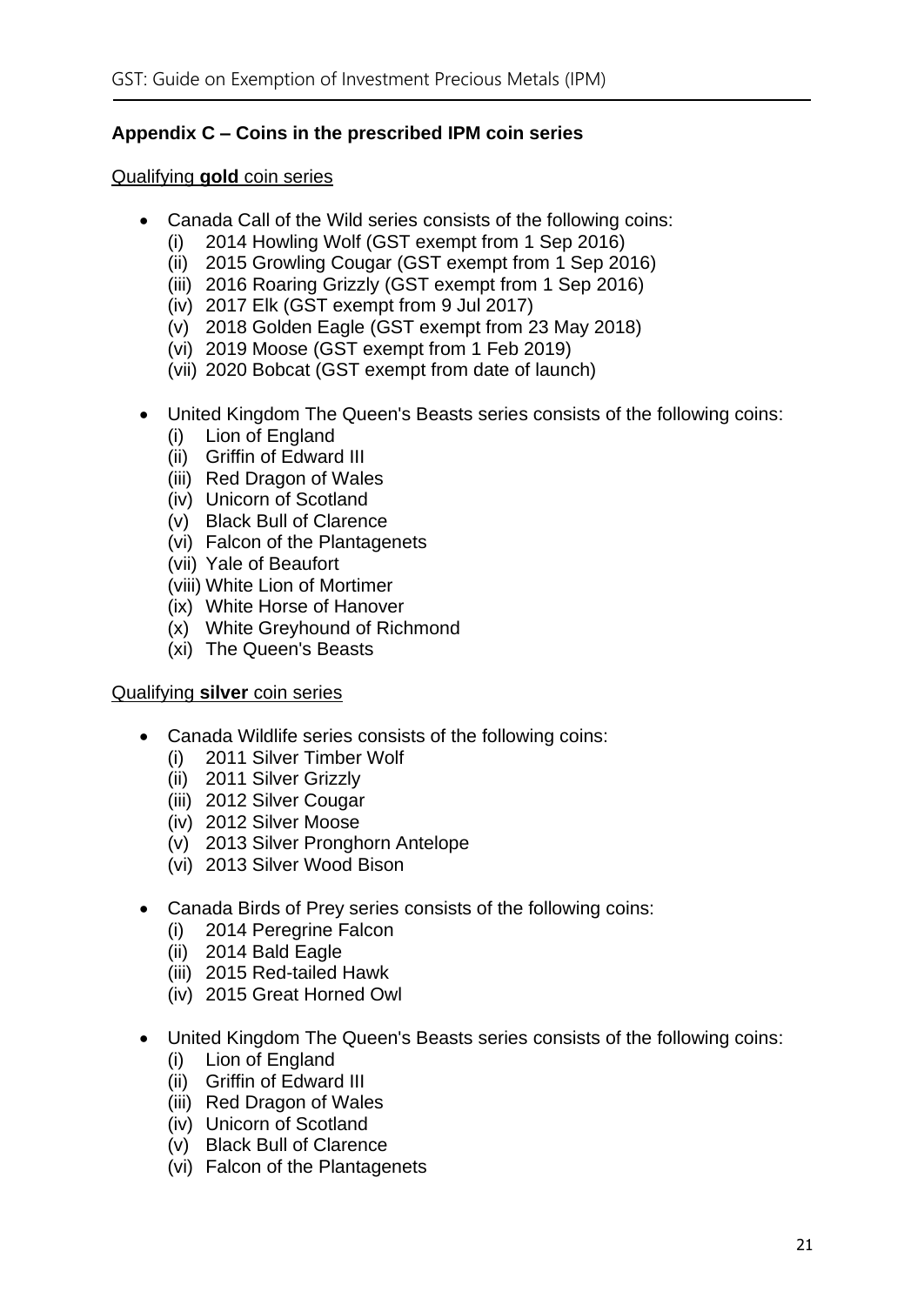#### <span id="page-23-0"></span>**Appendix C – Coins in the prescribed IPM coin series**

#### Qualifying **gold** coin series

- Canada Call of the Wild series consists of the following coins:
	- (i) 2014 Howling Wolf (GST exempt from 1 Sep 2016)
	- (ii) 2015 Growling Cougar (GST exempt from 1 Sep 2016)
	- (iii) 2016 Roaring Grizzly (GST exempt from 1 Sep 2016)
	- (iv) 2017 Elk (GST exempt from 9 Jul 2017)
	- (v) 2018 Golden Eagle (GST exempt from 23 May 2018)
	- (vi) 2019 Moose (GST exempt from 1 Feb 2019)
	- (vii) 2020 Bobcat (GST exempt from date of launch)
- United Kingdom The Queen's Beasts series consists of the following coins:
	- (i) Lion of England
	- (ii) Griffin of Edward III
	- (iii) Red Dragon of Wales
	- (iv) Unicorn of Scotland
	- (v) Black Bull of Clarence
	- (vi) Falcon of the Plantagenets
	- (vii) Yale of Beaufort
	- (viii) White Lion of Mortimer
	- (ix) White Horse of Hanover
	- (x) White Greyhound of Richmond
	- (xi) The Queen's Beasts

#### Qualifying **silver** coin series

- Canada Wildlife series consists of the following coins:
	- (i) 2011 Silver Timber Wolf
	- (ii) 2011 Silver Grizzly
	- (iii) 2012 Silver Cougar
	- (iv) 2012 Silver Moose
	- (v) 2013 Silver Pronghorn Antelope
	- (vi) 2013 Silver Wood Bison
- Canada Birds of Prey series consists of the following coins:
	- (i) 2014 Peregrine Falcon
	- (ii) 2014 Bald Eagle
	- (iii) 2015 Red-tailed Hawk
	- (iv) 2015 Great Horned Owl
- United Kingdom The Queen's Beasts series consists of the following coins:
	- (i) Lion of England
	- (ii) Griffin of Edward III
	- (iii) Red Dragon of Wales
	- (iv) Unicorn of Scotland
	- (v) Black Bull of Clarence
	- (vi) Falcon of the Plantagenets